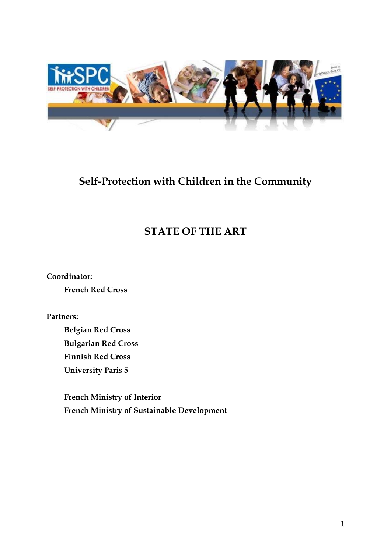

# **Self-Protection with Children in the Community**

# **STATE OF THE ART**

**Coordinator:** 

**French Red Cross** 

**Partners:** 

**Belgian Red Cross Bulgarian Red Cross Finnish Red Cross University Paris 5** 

**French Ministry of Interior French Ministry of Sustainable Development**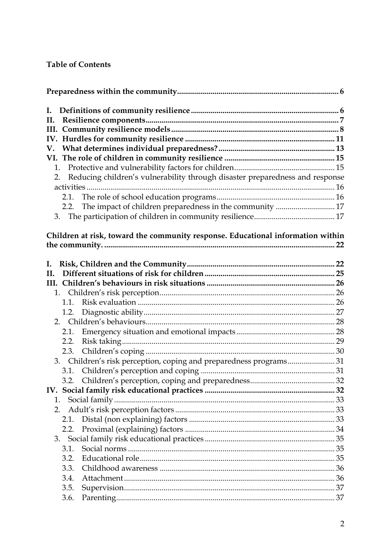## **Table of Contents**

| I. |      |                                                                                 |  |  |
|----|------|---------------------------------------------------------------------------------|--|--|
| П. |      |                                                                                 |  |  |
|    |      |                                                                                 |  |  |
|    |      |                                                                                 |  |  |
|    |      |                                                                                 |  |  |
|    |      |                                                                                 |  |  |
| 1. |      |                                                                                 |  |  |
| 2. |      | Reducing children's vulnerability through disaster preparedness and response    |  |  |
|    |      |                                                                                 |  |  |
|    | 2.1. |                                                                                 |  |  |
|    | 2.2. | The impact of children preparedness in the community  17                        |  |  |
|    |      |                                                                                 |  |  |
|    |      | Children at risk, toward the community response. Educational information within |  |  |
|    |      |                                                                                 |  |  |
| I. |      |                                                                                 |  |  |
| Н. |      |                                                                                 |  |  |
|    |      |                                                                                 |  |  |
|    |      |                                                                                 |  |  |
|    | 1.1. |                                                                                 |  |  |
|    | 1.2. |                                                                                 |  |  |
|    |      |                                                                                 |  |  |
|    | 2.1. |                                                                                 |  |  |
|    | 2.2. |                                                                                 |  |  |
|    | 2.3. |                                                                                 |  |  |
|    |      | 3. Children's risk perception, coping and preparedness programs 31              |  |  |
|    | 3.1. |                                                                                 |  |  |
|    |      |                                                                                 |  |  |
|    |      |                                                                                 |  |  |
| 1. |      |                                                                                 |  |  |
| 2. |      |                                                                                 |  |  |
|    | 2.1. |                                                                                 |  |  |
|    | 2.2. |                                                                                 |  |  |
|    |      |                                                                                 |  |  |
|    | 3.1. |                                                                                 |  |  |
|    | 3.2. |                                                                                 |  |  |
|    | 3.3. |                                                                                 |  |  |
|    | 3.4. |                                                                                 |  |  |
|    | 3.5. |                                                                                 |  |  |
|    | 3.6. |                                                                                 |  |  |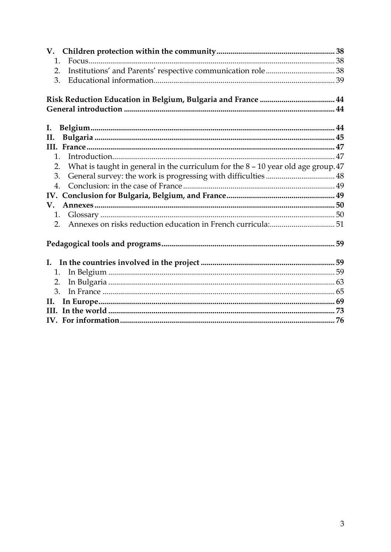| 1.                                                                                          |  |  |  |  |
|---------------------------------------------------------------------------------------------|--|--|--|--|
| 2.                                                                                          |  |  |  |  |
| 3.                                                                                          |  |  |  |  |
|                                                                                             |  |  |  |  |
|                                                                                             |  |  |  |  |
| I.                                                                                          |  |  |  |  |
| II.                                                                                         |  |  |  |  |
|                                                                                             |  |  |  |  |
| $\mathbf{1}$                                                                                |  |  |  |  |
| What is taught in general in the curriculum for the $8 - 10$ year old age group. $47$<br>2. |  |  |  |  |
| 3.                                                                                          |  |  |  |  |
| $\overline{4}$ .                                                                            |  |  |  |  |
|                                                                                             |  |  |  |  |
| V.                                                                                          |  |  |  |  |
| 1.                                                                                          |  |  |  |  |
| 2 <sub>1</sub>                                                                              |  |  |  |  |
|                                                                                             |  |  |  |  |
|                                                                                             |  |  |  |  |
| 1.                                                                                          |  |  |  |  |
| 2.                                                                                          |  |  |  |  |
| 3.                                                                                          |  |  |  |  |
| П.                                                                                          |  |  |  |  |
|                                                                                             |  |  |  |  |
|                                                                                             |  |  |  |  |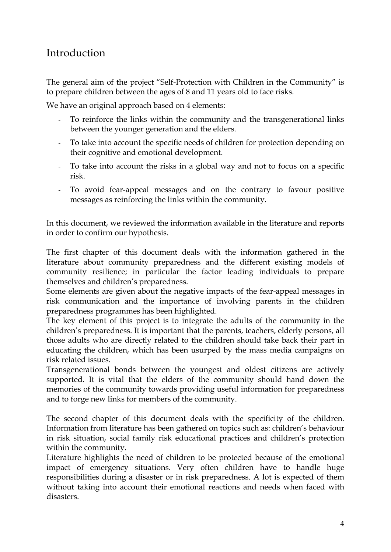# Introduction

The general aim of the project "Self-Protection with Children in the Community" is to prepare children between the ages of 8 and 11 years old to face risks.

We have an original approach based on 4 elements:

- To reinforce the links within the community and the transgenerational links between the younger generation and the elders.
- To take into account the specific needs of children for protection depending on their cognitive and emotional development.
- To take into account the risks in a global way and not to focus on a specific risk.
- To avoid fear-appeal messages and on the contrary to favour positive messages as reinforcing the links within the community.

In this document, we reviewed the information available in the literature and reports in order to confirm our hypothesis.

The first chapter of this document deals with the information gathered in the literature about community preparedness and the different existing models of community resilience; in particular the factor leading individuals to prepare themselves and children's preparedness.

Some elements are given about the negative impacts of the fear-appeal messages in risk communication and the importance of involving parents in the children preparedness programmes has been highlighted.

The key element of this project is to integrate the adults of the community in the children's preparedness. It is important that the parents, teachers, elderly persons, all those adults who are directly related to the children should take back their part in educating the children, which has been usurped by the mass media campaigns on risk related issues.

Transgenerational bonds between the youngest and oldest citizens are actively supported. It is vital that the elders of the community should hand down the memories of the community towards providing useful information for preparedness and to forge new links for members of the community.

The second chapter of this document deals with the specificity of the children. Information from literature has been gathered on topics such as: children's behaviour in risk situation, social family risk educational practices and children's protection within the community.

Literature highlights the need of children to be protected because of the emotional impact of emergency situations. Very often children have to handle huge responsibilities during a disaster or in risk preparedness. A lot is expected of them without taking into account their emotional reactions and needs when faced with disasters.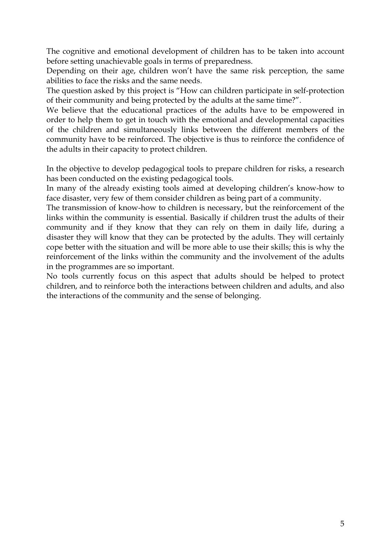The cognitive and emotional development of children has to be taken into account before setting unachievable goals in terms of preparedness.

Depending on their age, children won't have the same risk perception, the same abilities to face the risks and the same needs.

The question asked by this project is "How can children participate in self-protection of their community and being protected by the adults at the same time?".

We believe that the educational practices of the adults have to be empowered in order to help them to get in touch with the emotional and developmental capacities of the children and simultaneously links between the different members of the community have to be reinforced. The objective is thus to reinforce the confidence of the adults in their capacity to protect children.

In the objective to develop pedagogical tools to prepare children for risks, a research has been conducted on the existing pedagogical tools.

In many of the already existing tools aimed at developing children's know-how to face disaster, very few of them consider children as being part of a community.

The transmission of know-how to children is necessary, but the reinforcement of the links within the community is essential. Basically if children trust the adults of their community and if they know that they can rely on them in daily life, during a disaster they will know that they can be protected by the adults. They will certainly cope better with the situation and will be more able to use their skills; this is why the reinforcement of the links within the community and the involvement of the adults in the programmes are so important.

No tools currently focus on this aspect that adults should be helped to protect children, and to reinforce both the interactions between children and adults, and also the interactions of the community and the sense of belonging.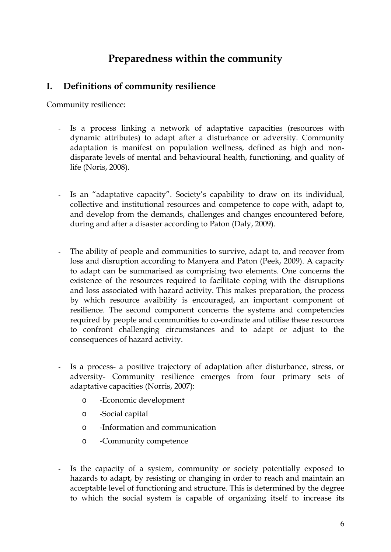# **Preparedness within the community**

## <span id="page-5-0"></span>**I. Definitions of community resilience**

Community resilience:

- Is a process linking a network of adaptative capacities (resources with dynamic attributes) to adapt after a disturbance or adversity. Community adaptation is manifest on population wellness, defined as high and nondisparate levels of mental and behavioural health, functioning, and quality of life (Noris, 2008).
- Is an "adaptative capacity". Society's capability to draw on its individual, collective and institutional resources and competence to cope with, adapt to, and develop from the demands, challenges and changes encountered before, during and after a disaster according to Paton (Daly, 2009).
- The ability of people and communities to survive, adapt to, and recover from loss and disruption according to Manyera and Paton (Peek, 2009). A capacity to adapt can be summarised as comprising two elements. One concerns the existence of the resources required to facilitate coping with the disruptions and loss associated with hazard activity. This makes preparation, the process by which resource avaibility is encouraged, an important component of resilience. The second component concerns the systems and competencies required by people and communities to co-ordinate and utilise these resources to confront challenging circumstances and to adapt or adjust to the consequences of hazard activity.
- Is a process- a positive trajectory of adaptation after disturbance, stress, or adversity- Community resilience emerges from four primary sets of adaptative capacities (Norris, 2007):
	- o -Economic development
	- o -Social capital
	- o -Information and communication
	- o -Community competence
- Is the capacity of a system, community or society potentially exposed to hazards to adapt, by resisting or changing in order to reach and maintain an acceptable level of functioning and structure. This is determined by the degree to which the social system is capable of organizing itself to increase its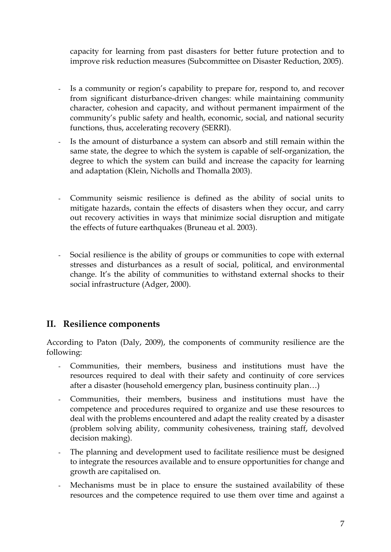<span id="page-6-0"></span>capacity for learning from past disasters for better future protection and to improve risk reduction measures (Subcommittee on Disaster Reduction, 2005).

- Is a community or region's capability to prepare for, respond to, and recover from significant disturbance-driven changes: while maintaining community character, cohesion and capacity, and without permanent impairment of the community's public safety and health, economic, social, and national security functions, thus, accelerating recovery (SERRI).
- Is the amount of disturbance a system can absorb and still remain within the same state, the degree to which the system is capable of self-organization, the degree to which the system can build and increase the capacity for learning and adaptation (Klein, Nicholls and Thomalla 2003).
- Community seismic resilience is defined as the ability of social units to mitigate hazards, contain the effects of disasters when they occur, and carry out recovery activities in ways that minimize social disruption and mitigate the effects of future earthquakes (Bruneau et al. 2003).
- Social resilience is the ability of groups or communities to cope with external stresses and disturbances as a result of social, political, and environmental change. It's the ability of communities to withstand external shocks to their social infrastructure (Adger, 2000).

## **II. Resilience components**

According to Paton (Daly, 2009), the components of community resilience are the following:

- Communities, their members, business and institutions must have the resources required to deal with their safety and continuity of core services after a disaster (household emergency plan, business continuity plan…)
- Communities, their members, business and institutions must have the competence and procedures required to organize and use these resources to deal with the problems encountered and adapt the reality created by a disaster (problem solving ability, community cohesiveness, training staff, devolved decision making).
- The planning and development used to facilitate resilience must be designed to integrate the resources available and to ensure opportunities for change and growth are capitalised on.
- Mechanisms must be in place to ensure the sustained availability of these resources and the competence required to use them over time and against a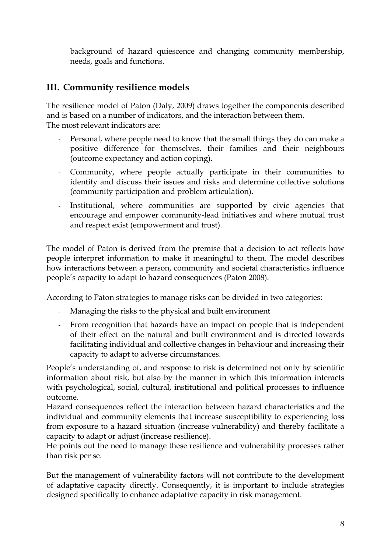<span id="page-7-0"></span>background of hazard quiescence and changing community membership, needs, goals and functions.

# **III. Community resilience models**

The resilience model of Paton (Daly, 2009) draws together the components described and is based on a number of indicators, and the interaction between them. The most relevant indicators are:

- Personal, where people need to know that the small things they do can make a positive difference for themselves, their families and their neighbours (outcome expectancy and action coping).
- Community, where people actually participate in their communities to identify and discuss their issues and risks and determine collective solutions (community participation and problem articulation).
- Institutional, where communities are supported by civic agencies that encourage and empower community-lead initiatives and where mutual trust and respect exist (empowerment and trust).

The model of Paton is derived from the premise that a decision to act reflects how people interpret information to make it meaningful to them. The model describes how interactions between a person, community and societal characteristics influence people's capacity to adapt to hazard consequences (Paton 2008).

According to Paton strategies to manage risks can be divided in two categories:

- Managing the risks to the physical and built environment
- From recognition that hazards have an impact on people that is independent of their effect on the natural and built environment and is directed towards facilitating individual and collective changes in behaviour and increasing their capacity to adapt to adverse circumstances.

People's understanding of, and response to risk is determined not only by scientific information about risk, but also by the manner in which this information interacts with psychological, social, cultural, institutional and political processes to influence outcome.

Hazard consequences reflect the interaction between hazard characteristics and the individual and community elements that increase susceptibility to experiencing loss from exposure to a hazard situation (increase vulnerability) and thereby facilitate a capacity to adapt or adjust (increase resilience).

He points out the need to manage these resilience and vulnerability processes rather than risk per se.

But the management of vulnerability factors will not contribute to the development of adaptative capacity directly. Consequently, it is important to include strategies designed specifically to enhance adaptative capacity in risk management.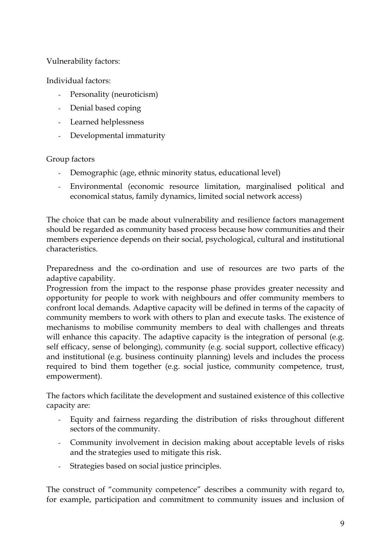### Vulnerability factors:

Individual factors:

- Personality (neuroticism)
- Denial based coping
- Learned helplessness
- Developmental immaturity

### Group factors

- Demographic (age, ethnic minority status, educational level)
- Environmental (economic resource limitation, marginalised political and economical status, family dynamics, limited social network access)

The choice that can be made about vulnerability and resilience factors management should be regarded as community based process because how communities and their members experience depends on their social, psychological, cultural and institutional characteristics.

Preparedness and the co-ordination and use of resources are two parts of the adaptive capability.

Progression from the impact to the response phase provides greater necessity and opportunity for people to work with neighbours and offer community members to confront local demands. Adaptive capacity will be defined in terms of the capacity of community members to work with others to plan and execute tasks. The existence of mechanisms to mobilise community members to deal with challenges and threats will enhance this capacity. The adaptive capacity is the integration of personal (e.g. self efficacy, sense of belonging), community (e.g. social support, collective efficacy) and institutional (e.g. business continuity planning) levels and includes the process required to bind them together (e.g. social justice, community competence, trust, empowerment).

The factors which facilitate the development and sustained existence of this collective capacity are:

- Equity and fairness regarding the distribution of risks throughout different sectors of the community.
- Community involvement in decision making about acceptable levels of risks and the strategies used to mitigate this risk.
- Strategies based on social justice principles.

The construct of "community competence" describes a community with regard to, for example, participation and commitment to community issues and inclusion of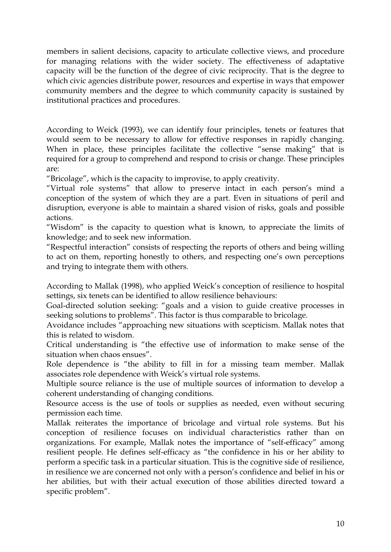members in salient decisions, capacity to articulate collective views, and procedure for managing relations with the wider society. The effectiveness of adaptative capacity will be the function of the degree of civic reciprocity. That is the degree to which civic agencies distribute power, resources and expertise in ways that empower community members and the degree to which community capacity is sustained by institutional practices and procedures.

According to Weick (1993), we can identify four principles, tenets or features that would seem to be necessary to allow for effective responses in rapidly changing. When in place, these principles facilitate the collective "sense making" that is required for a group to comprehend and respond to crisis or change. These principles are:

"Bricolage", which is the capacity to improvise, to apply creativity.

"Virtual role systems" that allow to preserve intact in each person's mind a conception of the system of which they are a part. Even in situations of peril and disruption, everyone is able to maintain a shared vision of risks, goals and possible actions.

"Wisdom" is the capacity to question what is known, to appreciate the limits of knowledge; and to seek new information.

"Respectful interaction" consists of respecting the reports of others and being willing to act on them, reporting honestly to others, and respecting one's own perceptions and trying to integrate them with others.

According to Mallak (1998), who applied Weick's conception of resilience to hospital settings, six tenets can be identified to allow resilience behaviours:

Goal-directed solution seeking: "goals and a vision to guide creative processes in seeking solutions to problems". This factor is thus comparable to bricolage.

Avoidance includes "approaching new situations with scepticism. Mallak notes that this is related to wisdom.

Critical understanding is "the effective use of information to make sense of the situation when chaos ensues".

Role dependence is "the ability to fill in for a missing team member. Mallak associates role dependence with Weick's virtual role systems.

Multiple source reliance is the use of multiple sources of information to develop a coherent understanding of changing conditions.

Resource access is the use of tools or supplies as needed, even without securing permission each time.

Mallak reiterates the importance of bricolage and virtual role systems. But his conception of resilience focuses on individual characteristics rather than on organizations. For example, Mallak notes the importance of "self-efficacy" among resilient people. He defines self-efficacy as "the confidence in his or her ability to perform a specific task in a particular situation. This is the cognitive side of resilience, in resilience we are concerned not only with a person's confidence and belief in his or her abilities, but with their actual execution of those abilities directed toward a specific problem".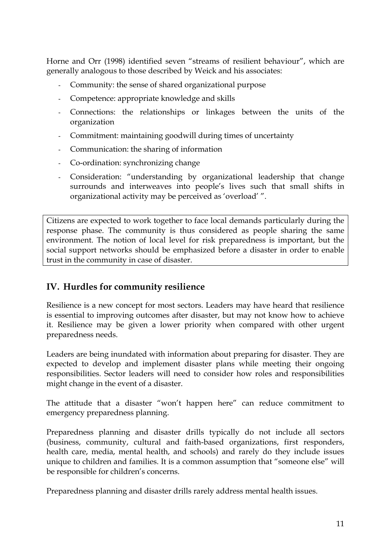<span id="page-10-0"></span>Horne and Orr (1998) identified seven "streams of resilient behaviour", which are generally analogous to those described by Weick and his associates:

- Community: the sense of shared organizational purpose
- Competence: appropriate knowledge and skills
- Connections: the relationships or linkages between the units of the organization
- Commitment: maintaining goodwill during times of uncertainty
- Communication: the sharing of information
- Co-ordination: synchronizing change
- Consideration: "understanding by organizational leadership that change surrounds and interweaves into people's lives such that small shifts in organizational activity may be perceived as 'overload' ".

Citizens are expected to work together to face local demands particularly during the response phase. The community is thus considered as people sharing the same environment. The notion of local level for risk preparedness is important, but the social support networks should be emphasized before a disaster in order to enable trust in the community in case of disaster.

# **IV. Hurdles for community resilience**

Resilience is a new concept for most sectors. Leaders may have heard that resilience is essential to improving outcomes after disaster, but may not know how to achieve it. Resilience may be given a lower priority when compared with other urgent preparedness needs.

Leaders are being inundated with information about preparing for disaster. They are expected to develop and implement disaster plans while meeting their ongoing responsibilities. Sector leaders will need to consider how roles and responsibilities might change in the event of a disaster.

The attitude that a disaster "won't happen here" can reduce commitment to emergency preparedness planning.

Preparedness planning and disaster drills typically do not include all sectors (business, community, cultural and faith-based organizations, first responders, health care, media, mental health, and schools) and rarely do they include issues unique to children and families. It is a common assumption that "someone else" will be responsible for children's concerns.

Preparedness planning and disaster drills rarely address mental health issues.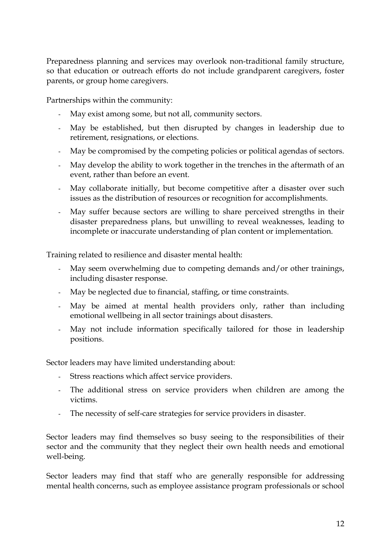Preparedness planning and services may overlook non-traditional family structure, so that education or outreach efforts do not include grandparent caregivers, foster parents, or group home caregivers.

Partnerships within the community:

- May exist among some, but not all, community sectors.
- May be established, but then disrupted by changes in leadership due to retirement, resignations, or elections.
- May be compromised by the competing policies or political agendas of sectors.
- May develop the ability to work together in the trenches in the aftermath of an event, rather than before an event.
- May collaborate initially, but become competitive after a disaster over such issues as the distribution of resources or recognition for accomplishments.
- May suffer because sectors are willing to share perceived strengths in their disaster preparedness plans, but unwilling to reveal weaknesses, leading to incomplete or inaccurate understanding of plan content or implementation.

Training related to resilience and disaster mental health:

- May seem overwhelming due to competing demands and/or other trainings, including disaster response.
- May be neglected due to financial, staffing, or time constraints.
- May be aimed at mental health providers only, rather than including emotional wellbeing in all sector trainings about disasters.
- May not include information specifically tailored for those in leadership positions.

Sector leaders may have limited understanding about:

- Stress reactions which affect service providers.
- The additional stress on service providers when children are among the victims.
- The necessity of self-care strategies for service providers in disaster.

Sector leaders may find themselves so busy seeing to the responsibilities of their sector and the community that they neglect their own health needs and emotional well-being.

Sector leaders may find that staff who are generally responsible for addressing mental health concerns, such as employee assistance program professionals or school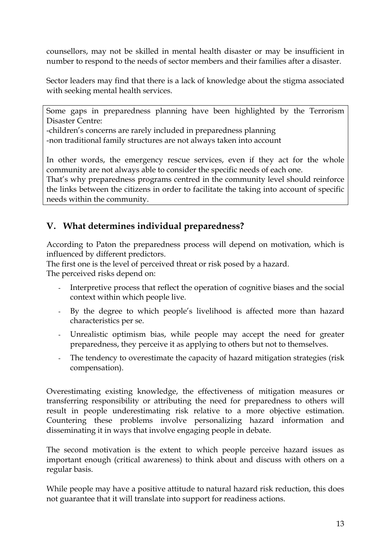<span id="page-12-0"></span>counsellors, may not be skilled in mental health disaster or may be insufficient in number to respond to the needs of sector members and their families after a disaster.

Sector leaders may find that there is a lack of knowledge about the stigma associated with seeking mental health services.

Some gaps in preparedness planning have been highlighted by the Terrorism Disaster Centre:

-children's concerns are rarely included in preparedness planning -non traditional family structures are not always taken into account

In other words, the emergency rescue services, even if they act for the whole

community are not always able to consider the specific needs of each one. That's why preparedness programs centred in the community level should reinforce the links between the citizens in order to facilitate the taking into account of specific needs within the community.

# **V. What determines individual preparedness?**

According to Paton the preparedness process will depend on motivation, which is influenced by different predictors.

The first one is the level of perceived threat or risk posed by a hazard.

The perceived risks depend on:

- Interpretive process that reflect the operation of cognitive biases and the social context within which people live.
- By the degree to which people's livelihood is affected more than hazard characteristics per se.
- Unrealistic optimism bias, while people may accept the need for greater preparedness, they perceive it as applying to others but not to themselves.
- The tendency to overestimate the capacity of hazard mitigation strategies (risk compensation).

Overestimating existing knowledge, the effectiveness of mitigation measures or transferring responsibility or attributing the need for preparedness to others will result in people underestimating risk relative to a more objective estimation. Countering these problems involve personalizing hazard information and disseminating it in ways that involve engaging people in debate.

The second motivation is the extent to which people perceive hazard issues as important enough (critical awareness) to think about and discuss with others on a regular basis.

While people may have a positive attitude to natural hazard risk reduction, this does not guarantee that it will translate into support for readiness actions.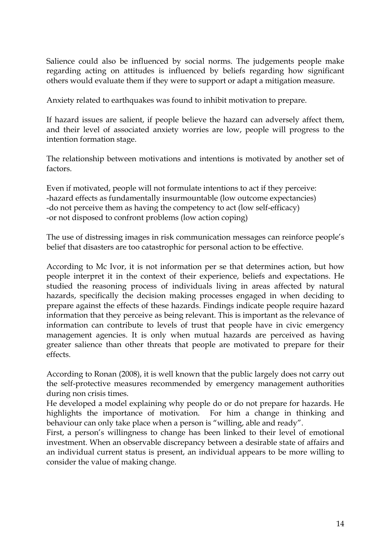Salience could also be influenced by social norms. The judgements people make regarding acting on attitudes is influenced by beliefs regarding how significant others would evaluate them if they were to support or adapt a mitigation measure.

Anxiety related to earthquakes was found to inhibit motivation to prepare.

If hazard issues are salient, if people believe the hazard can adversely affect them, and their level of associated anxiety worries are low, people will progress to the intention formation stage.

The relationship between motivations and intentions is motivated by another set of factors.

Even if motivated, people will not formulate intentions to act if they perceive: -hazard effects as fundamentally insurmountable (low outcome expectancies) -do not perceive them as having the competency to act (low self-efficacy) -or not disposed to confront problems (low action coping)

The use of distressing images in risk communication messages can reinforce people's belief that disasters are too catastrophic for personal action to be effective.

According to Mc Ivor, it is not information per se that determines action, but how people interpret it in the context of their experience, beliefs and expectations. He studied the reasoning process of individuals living in areas affected by natural hazards, specifically the decision making processes engaged in when deciding to prepare against the effects of these hazards. Findings indicate people require hazard information that they perceive as being relevant. This is important as the relevance of information can contribute to levels of trust that people have in civic emergency management agencies. It is only when mutual hazards are perceived as having greater salience than other threats that people are motivated to prepare for their effects.

According to Ronan (2008), it is well known that the public largely does not carry out the self-protective measures recommended by emergency management authorities during non crisis times.

He developed a model explaining why people do or do not prepare for hazards. He highlights the importance of motivation. For him a change in thinking and behaviour can only take place when a person is "willing, able and ready".

First, a person's willingness to change has been linked to their level of emotional investment. When an observable discrepancy between a desirable state of affairs and an individual current status is present, an individual appears to be more willing to consider the value of making change.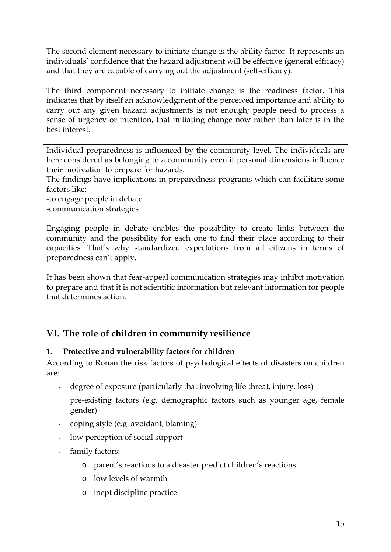<span id="page-14-0"></span>The second element necessary to initiate change is the ability factor. It represents an individuals' confidence that the hazard adjustment will be effective (general efficacy) and that they are capable of carrying out the adjustment (self-efficacy).

The third component necessary to initiate change is the readiness factor. This indicates that by itself an acknowledgment of the perceived importance and ability to carry out any given hazard adjustments is not enough; people need to process a sense of urgency or intention, that initiating change now rather than later is in the best interest.

Individual preparedness is influenced by the community level. The individuals are here considered as belonging to a community even if personal dimensions influence their motivation to prepare for hazards.

The findings have implications in preparedness programs which can facilitate some factors like:

-to engage people in debate

-communication strategies

Engaging people in debate enables the possibility to create links between the community and the possibility for each one to find their place according to their capacities. That's why standardized expectations from all citizens in terms of preparedness can't apply.

It has been shown that fear-appeal communication strategies may inhibit motivation to prepare and that it is not scientific information but relevant information for people that determines action.

# **VI. The role of children in community resilience**

## **1. Protective and vulnerability factors for children**

According to Ronan the risk factors of psychological effects of disasters on children are:

- degree of exposure (particularly that involving life threat, injury, loss)
- pre-existing factors (e.g. demographic factors such as younger age, female gender)
- coping style (e.g. avoidant, blaming)
- low perception of social support
- family factors:
	- o parent's reactions to a disaster predict children's reactions
	- o low levels of warmth
	- o inept discipline practice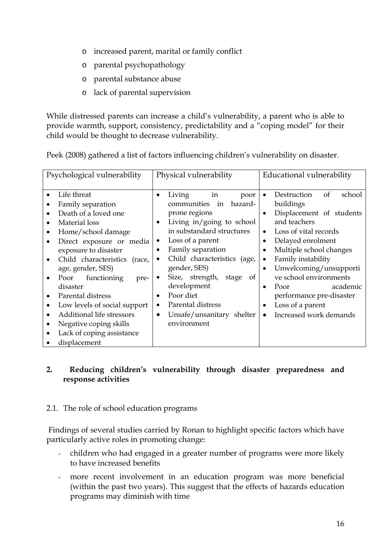- <span id="page-15-0"></span>o increased parent, marital or family conflict
- o parental psychopathology
- o parental substance abuse
- o lack of parental supervision

While distressed parents can increase a child's vulnerability, a parent who is able to provide warmth, support, consistency, predictability and a "coping model" for their child would be thought to decrease vulnerability.

| Psychological vulnerability                                                                                                                                                                                                                                                                                                                                                                                                                         | Physical vulnerability                                                                                                                                                                                                                                                                                                                                                                                                            | Educational vulnerability                                                                                                                                                                                                                                                                                                                                                                                                                                       |
|-----------------------------------------------------------------------------------------------------------------------------------------------------------------------------------------------------------------------------------------------------------------------------------------------------------------------------------------------------------------------------------------------------------------------------------------------------|-----------------------------------------------------------------------------------------------------------------------------------------------------------------------------------------------------------------------------------------------------------------------------------------------------------------------------------------------------------------------------------------------------------------------------------|-----------------------------------------------------------------------------------------------------------------------------------------------------------------------------------------------------------------------------------------------------------------------------------------------------------------------------------------------------------------------------------------------------------------------------------------------------------------|
| Life threat<br>Family separation<br>Death of a loved one<br>Material loss<br>Home/school damage<br>$\bullet$<br>Direct exposure or media<br>exposure to disaster<br>Child characteristics<br>(race,<br>age, gender, SES)<br>Poor functioning<br>pre-<br>disaster<br>Parental distress<br>Low levels of social support<br>$\bullet$<br>Additional life stressors<br>Negative coping skills<br>$\bullet$<br>Lack of coping assistance<br>displacement | in<br>Living<br>poor<br>$\bullet$<br>hazard-<br>communities in<br>prone regions<br>Living in/going to school<br>$\bullet$<br>in substandard structures<br>Loss of a parent<br>$\bullet$<br>Family separation<br>$\bullet$<br>Child characteristics (age,<br>$\bullet$<br>gender, SES)<br>Size, strength,<br>stage<br>of<br>development<br>Poor diet<br>Parental distress<br>Unsafe/unsanitary shelter<br>$\bullet$<br>environment | Destruction<br>of<br>school<br>٠<br>buildings<br>Displacement of students<br>$\bullet$<br>and teachers<br>Loss of vital records<br>$\bullet$<br>Delayed enrolment<br>$\bullet$<br>Multiple school changes<br>$\bullet$<br>Family instability<br>$\bullet$<br>Unwelcoming/unsupporti<br>$\bullet$<br>ve school environments<br>academic<br>Poor<br>$\bullet$<br>performance pre-disaster<br>Loss of a parent<br>$\bullet$<br>Increased work demands<br>$\bullet$ |

Peek (2008) gathered a list of factors influencing children's vulnerability on disaster.

## **2. Reducing children's vulnerability through disaster preparedness and response activities**

## 2.1. The role of school education programs

 Findings of several studies carried by Ronan to highlight specific factors which have particularly active roles in promoting change:

- children who had engaged in a greater number of programs were more likely to have increased benefits
- more recent involvement in an education program was more beneficial (within the past two years). This suggest that the effects of hazards education programs may diminish with time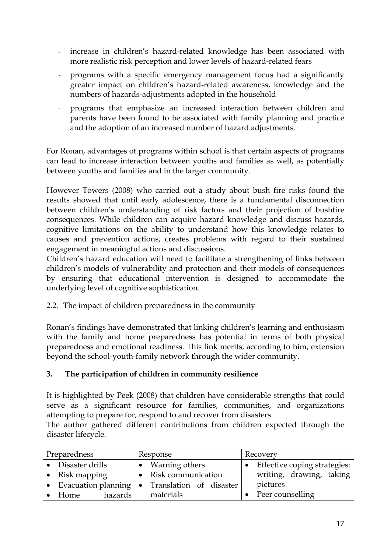- <span id="page-16-0"></span>- increase in children's hazard-related knowledge has been associated with more realistic risk perception and lower levels of hazard-related fears
- programs with a specific emergency management focus had a significantly greater impact on children's hazard-related awareness, knowledge and the numbers of hazards-adjustments adopted in the household
- programs that emphasize an increased interaction between children and parents have been found to be associated with family planning and practice and the adoption of an increased number of hazard adjustments.

For Ronan, advantages of programs within school is that certain aspects of programs can lead to increase interaction between youths and families as well, as potentially between youths and families and in the larger community.

However Towers (2008) who carried out a study about bush fire risks found the results showed that until early adolescence, there is a fundamental disconnection between children's understanding of risk factors and their projection of bushfire consequences. While children can acquire hazard knowledge and discuss hazards, cognitive limitations on the ability to understand how this knowledge relates to causes and prevention actions, creates problems with regard to their sustained engagement in meaningful actions and discussions.

Children's hazard education will need to facilitate a strengthening of links between children's models of vulnerability and protection and their models of consequences by ensuring that educational intervention is designed to accommodate the underlying level of cognitive sophistication.

2.2. The impact of children preparedness in the community

Ronan's findings have demonstrated that linking children's learning and enthusiasm with the family and home preparedness has potential in terms of both physical preparedness and emotional readiness. This link merits, according to him, extension beyond the school-youth-family network through the wider community.

#### **3. The participation of children in community resilience**

It is highlighted by Peek (2008) that children have considerable strengths that could serve as a significant resource for families, communities, and organizations attempting to prepare for, respond to and recover from disasters.

The author gathered different contributions from children expected through the disaster lifecycle.

| Preparedness |                                   |  | Response                |  | Recovery                       |  |
|--------------|-----------------------------------|--|-------------------------|--|--------------------------------|--|
|              | • Disaster drills                 |  | • Warning others        |  | • Effective coping strategies: |  |
|              | Risk mapping                      |  | Risk communication      |  | writing, drawing, taking       |  |
| $\bullet$    | Evacuation planning $  \bullet  $ |  | Translation of disaster |  | pictures                       |  |
|              | hazards  <br>Home.                |  | materials               |  | Peer counselling               |  |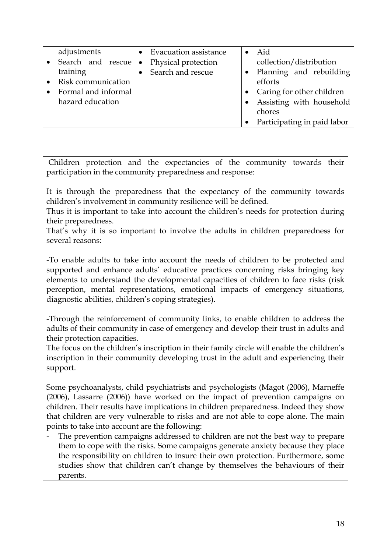| adjustments<br>• Search and rescue | • Evacuation assistance<br>$\bullet$ | Aid<br>collection/distribution |
|------------------------------------|--------------------------------------|--------------------------------|
|                                    | Physical protection                  |                                |
| training                           | Search and rescue                    | • Planning and rebuilding      |
| Risk communication                 |                                      | efforts                        |
| Formal and informal                |                                      | • Caring for other children    |
| hazard education                   |                                      | Assisting with household       |
|                                    |                                      | chores                         |
|                                    |                                      | Participating in paid labor    |

 Children protection and the expectancies of the community towards their participation in the community preparedness and response:

It is through the preparedness that the expectancy of the community towards children's involvement in community resilience will be defined.

Thus it is important to take into account the children's needs for protection during their preparedness.

That's why it is so important to involve the adults in children preparedness for several reasons:

-To enable adults to take into account the needs of children to be protected and supported and enhance adults' educative practices concerning risks bringing key elements to understand the developmental capacities of children to face risks (risk perception, mental representations, emotional impacts of emergency situations, diagnostic abilities, children's coping strategies).

-Through the reinforcement of community links, to enable children to address the adults of their community in case of emergency and develop their trust in adults and their protection capacities.

The focus on the children's inscription in their family circle will enable the children's inscription in their community developing trust in the adult and experiencing their support.

Some psychoanalysts, child psychiatrists and psychologists (Magot (2006), Marneffe (2006), Lassarre (2006)) have worked on the impact of prevention campaigns on children. Their results have implications in children preparedness. Indeed they show that children are very vulnerable to risks and are not able to cope alone. The main points to take into account are the following:

The prevention campaigns addressed to children are not the best way to prepare them to cope with the risks. Some campaigns generate anxiety because they place the responsibility on children to insure their own protection. Furthermore, some studies show that children can't change by themselves the behaviours of their parents.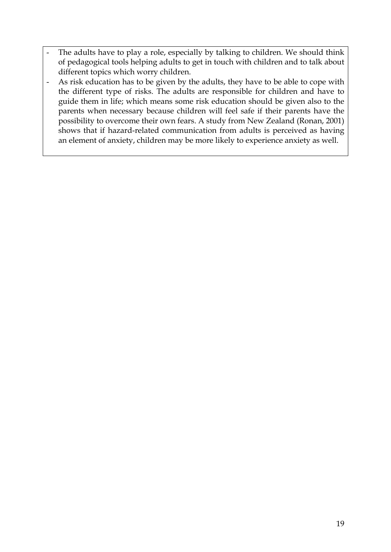- The adults have to play a role, especially by talking to children. We should think of pedagogical tools helping adults to get in touch with children and to talk about different topics which worry children.
- As risk education has to be given by the adults, they have to be able to cope with the different type of risks. The adults are responsible for children and have to guide them in life; which means some risk education should be given also to the parents when necessary because children will feel safe if their parents have the possibility to overcome their own fears. A study from New Zealand (Ronan, 2001) shows that if hazard-related communication from adults is perceived as having an element of anxiety, children may be more likely to experience anxiety as well.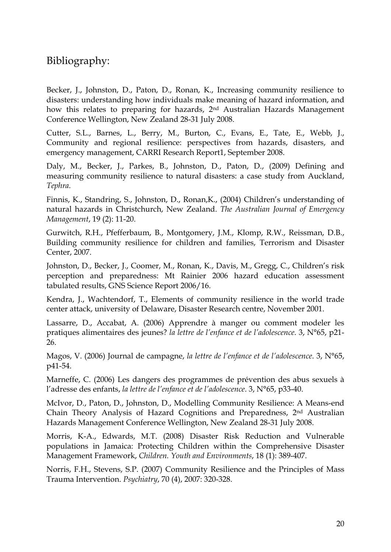# Bibliography:

Becker, L., Johnston, D., Paton, D., Ronan, K., Increasing community resilience to disasters: understanding how individuals make meaning of hazard information, and how this relates to preparing for hazards, 2nd Australian Hazards Management Conference Wellington, New Zealand 28-31 July 2008.

Cutter, S.L., Barnes, L., Berry, M., Burton, C., Evans, E., Tate, E., Webb, J., Community and regional resilience: perspectives from hazards, disasters, and emergency management, CARRI Research Report1, September 2008.

Daly, M., Becker, J., Parkes, B., Johnston, D., Paton, D., (2009) Defining and measuring community resilience to natural disasters: a case study from Auckland, *Tephra*.

Finnis, K., Standring, S., Johnston, D., Ronan,K., (2004) Children's understanding of natural hazards in Christchurch, New Zealand. *The Australian Journal of Emergency Management*, 19 (2): 11-20.

Gurwitch, R.H., Pfefferbaum, B., Montgomery, J.M., Klomp, R.W., Reissman, D.B., Building community resilience for children and families, Terrorism and Disaster Center, 2007.

Johnston, D., Becker, J., Coomer, M., Ronan, K., Davis, M., Gregg, C., Children's risk perception and preparedness: Mt Rainier 2006 hazard education assessment tabulated results, GNS Science Report 2006/16.

Kendra, J., Wachtendorf, T., Elements of community resilience in the world trade center attack, university of Delaware, Disaster Research centre, November 2001.

Lassarre, D., Accabat, A. (2006) Apprendre à manger ou comment modeler les pratiques alimentaires des jeunes? *la lettre de l'enfance et de l'adolescence*. 3, N°65, p21- 26.

Magos, V. (2006) Journal de campagne, *la lettre de l'enfance et de l'adolescence*. 3, N°65, p41-54.

Marneffe, C. (2006) Les dangers des programmes de prévention des abus sexuels à l'adresse des enfants, *la lettre de l'enfance et de l'adolescence*. 3, N°65, p33-40.

McIvor, D., Paton, D., Johnston, D., Modelling Community Resilience: A Means-end Chain Theory Analysis of Hazard Cognitions and Preparedness, 2nd Australian Hazards Management Conference Wellington, New Zealand 28-31 July 2008.

Morris, K-A., Edwards, M.T. (2008) Disaster Risk Reduction and Vulnerable populations in Jamaica: Protecting Children within the Comprehensive Disaster Management Framework, *Children. Youth and Environments*, 18 (1): 389-407.

Norris, F.H., Stevens, S.P. (2007) Community Resilience and the Principles of Mass Trauma Intervention. *Psychiatry*, 70 (4), 2007: 320-328.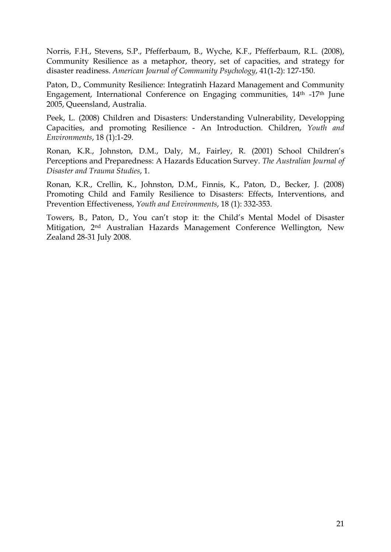Norris, F.H., Stevens, S.P., Pfefferbaum, B., Wyche, K.F., Pfefferbaum, R.L. (2008), Community Resilience as a metaphor, theory, set of capacities, and strategy for disaster readiness. *American Journal of Community Psychology*, 41(1-2): 127-150.

Paton, D., Community Resilience: Integratinh Hazard Management and Community Engagement, International Conference on Engaging communities, 14th -17th June 2005, Queensland, Australia.

Peek, L. (2008) Children and Disasters: Understanding Vulnerability, Developping Capacities, and promoting Resilience - An Introduction. Children, *Youth and Environments*, 18 (1):1-29.

Ronan, K.R., Johnston, D.M., Daly, M., Fairley, R. (2001) School Children's Perceptions and Preparedness: A Hazards Education Survey. *The Australian Journal of Disaster and Trauma Studies*, 1.

Ronan, K.R., Crellin, K., Johnston, D.M., Finnis, K., Paton, D., Becker, J. (2008) Promoting Child and Family Resilience to Disasters: Effects, Interventions, and Prevention Effectiveness, *Youth and Environments*, 18 (1): 332-353.

Towers, B., Paton, D., You can't stop it: the Child's Mental Model of Disaster Mitigation, 2nd Australian Hazards Management Conference Wellington, New Zealand 28-31 July 2008.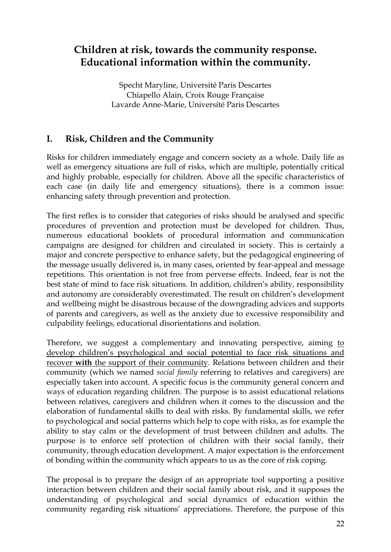# <span id="page-21-0"></span>**Children at risk, towards the community response. Educational information within the community.**

Specht Maryline, Université Paris Descartes Chiapello Alain, Croix Rouge Française Lavarde Anne-Marie, Université Paris Descartes

# **I. Risk, Children and the Community**

Risks for children immediately engage and concern society as a whole. Daily life as well as emergency situations are full of risks, which are multiple, potentially critical and highly probable, especially for children. Above all the specific characteristics of each case (in daily life and emergency situations), there is a common issue: enhancing safety through prevention and protection.

The first reflex is to consider that categories of risks should be analysed and specific procedures of prevention and protection must be developed for children. Thus, numerous educational booklets of procedural information and communication campaigns are designed for children and circulated in society. This is certainly a major and concrete perspective to enhance safety, but the pedagogical engineering of the message usually delivered is, in many cases, oriented by fear-appeal and message repetitions. This orientation is not free from perverse effects. Indeed, fear is not the best state of mind to face risk situations. In addition, children's ability, responsibility and autonomy are considerably overestimated. The result on children's development and wellbeing might be disastrous because of the downgrading advices and supports of parents and caregivers, as well as the anxiety due to excessive responsibility and culpability feelings, educational disorientations and isolation.

Therefore, we suggest a complementary and innovating perspective, aiming to develop children's psychological and social potential to face risk situations and recover **with** the support of their community. Relations between children and their community (which we named *social family* referring to relatives and caregivers) are especially taken into account. A specific focus is the community general concern and ways of education regarding children. The purpose is to assist educational relations between relatives, caregivers and children when it comes to the discussion and the elaboration of fundamental skills to deal with risks. By fundamental skills, we refer to psychological and social patterns which help to cope with risks, as for example the ability to stay calm or the development of trust between children and adults. The purpose is to enforce self protection of children with their social family, their community, through education development. A major expectation is the enforcement of bonding within the community which appears to us as the core of risk coping.

The proposal is to prepare the design of an appropriate tool supporting a positive interaction between children and their social family about risk, and it supposes the understanding of psychological and social dynamics of education within the community regarding risk situations' appreciations. Therefore, the purpose of this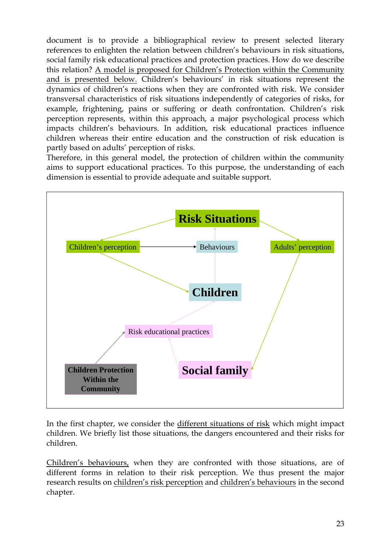document is to provide a bibliographical review to present selected literary references to enlighten the relation between children's behaviours in risk situations, social family risk educational practices and protection practices. How do we describe this relation? A model is proposed for Children's Protection within the Community and is presented below. Children's behaviours' in risk situations represent the dynamics of children's reactions when they are confronted with risk. We consider transversal characteristics of risk situations independently of categories of risks, for example, frightening, pains or suffering or death confrontation. Children's risk perception represents, within this approach, a major psychological process which impacts children's behaviours. In addition, risk educational practices influence children whereas their entire education and the construction of risk education is partly based on adults' perception of risks.

Therefore, in this general model, the protection of children within the community aims to support educational practices. To this purpose, the understanding of each dimension is essential to provide adequate and suitable support.



In the first chapter, we consider the different situations of risk which might impact children. We briefly list those situations, the dangers encountered and their risks for children.

Children's behaviours, when they are confronted with those situations, are of different forms in relation to their risk perception. We thus present the major research results on children's risk perception and children's behaviours in the second chapter.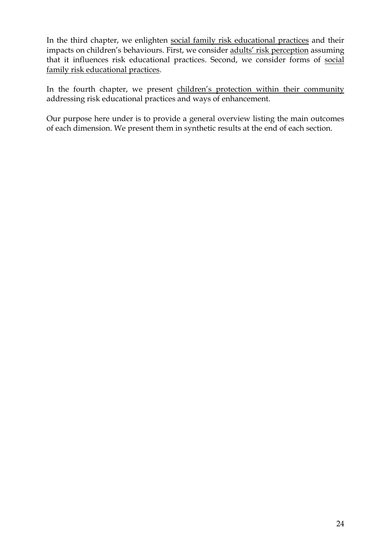In the third chapter, we enlighten social family risk educational practices and their impacts on children's behaviours. First, we consider adults' risk perception assuming that it influences risk educational practices. Second, we consider forms of social family risk educational practices.

In the fourth chapter, we present children's protection within their community addressing risk educational practices and ways of enhancement.

Our purpose here under is to provide a general overview listing the main outcomes of each dimension. We present them in synthetic results at the end of each section.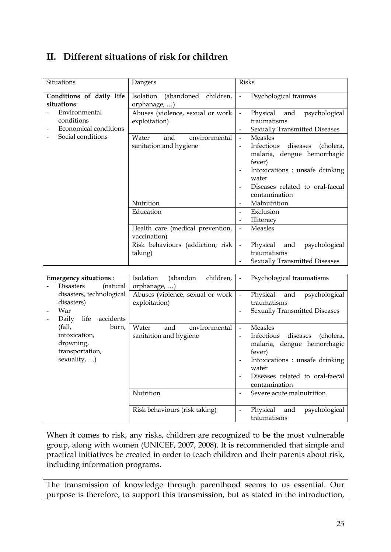# <span id="page-24-0"></span>**II. Different situations of risk for children**

| Situations                                                                       | Dangers                                                 | <b>Risks</b>                                                                                                                                                                                                                               |
|----------------------------------------------------------------------------------|---------------------------------------------------------|--------------------------------------------------------------------------------------------------------------------------------------------------------------------------------------------------------------------------------------------|
| Conditions of daily life<br>situations:<br>Environmental                         | Isolation (abandoned children,<br>orphanage, )          | Psychological traumas<br>$\Box$                                                                                                                                                                                                            |
| conditions<br>Economical conditions                                              | Abuses (violence, sexual or work<br>exploitation)       | Physical<br>$\Box$<br>and<br>psychological<br>traumatisms<br><b>Sexually Transmitted Diseases</b><br>$\blacksquare$                                                                                                                        |
| Social conditions                                                                | and<br>Water<br>environmental<br>sanitation and hygiene | <b>Measles</b><br>$\overline{a}$<br>Infectious<br>diseases<br>(cholera,<br>malaria, dengue hemorrhagic<br>fever)<br>Intoxications : unsafe drinking<br>water<br>Diseases related to oral-faecal<br>contamination                           |
|                                                                                  | Nutrition                                               | Malnutrition<br>$\blacksquare$                                                                                                                                                                                                             |
|                                                                                  | Education                                               | Exclusion<br>$\overline{\phantom{a}}$<br>Illiteracy<br>$\blacksquare$                                                                                                                                                                      |
|                                                                                  | Health care (medical prevention,<br>vaccination)        | Measles<br>$\frac{1}{2}$                                                                                                                                                                                                                   |
|                                                                                  | Risk behaviours (addiction, risk<br>taking)             | Physical<br>and<br>psychological<br>$\frac{1}{2}$<br>traumatisms<br>Sexually Transmitted Diseases                                                                                                                                          |
|                                                                                  |                                                         |                                                                                                                                                                                                                                            |
| <b>Emergency situations:</b><br><b>Disasters</b><br>(natural                     | children,<br>Isolation<br>(abandon<br>orphanage, )      | Psychological traumatisms<br>$\Box$                                                                                                                                                                                                        |
| disasters, technological<br>disasters)<br>War<br>Daily life<br>accidents         | Abuses (violence, sexual or work<br>exploitation)       | Physical<br>and<br>psychological<br>$\frac{1}{2}$<br>traumatisms<br><b>Sexually Transmitted Diseases</b>                                                                                                                                   |
| (fall,<br>burn,<br>intoxication,<br>drowning,<br>transportation,<br>sexuality, ) | Water<br>and<br>environmental<br>sanitation and hygiene | Measles<br>$\mathbf{r}$<br>Infectious<br>diseases<br>(cholera,<br>$\blacksquare$<br>malaria, dengue hemorrhagic<br>fever)<br>Intoxications : unsafe drinking<br>water<br>Diseases related to oral-faecal<br>$\frac{1}{2}$<br>contamination |
|                                                                                  | Nutrition                                               | Severe acute malnutrition<br>$\blacksquare$                                                                                                                                                                                                |
|                                                                                  | Risk behaviours (risk taking)                           | Physical<br>psychological<br>and<br>$\frac{1}{2}$<br>traumatisms                                                                                                                                                                           |

When it comes to risk, any risks, children are recognized to be the most vulnerable group, along with women (UNICEF, 2007, 2008). It is recommended that simple and practical initiatives be created in order to teach children and their parents about risk, including information programs.

The transmission of knowledge through parenthood seems to us essential. Our purpose is therefore, to support this transmission, but as stated in the introduction,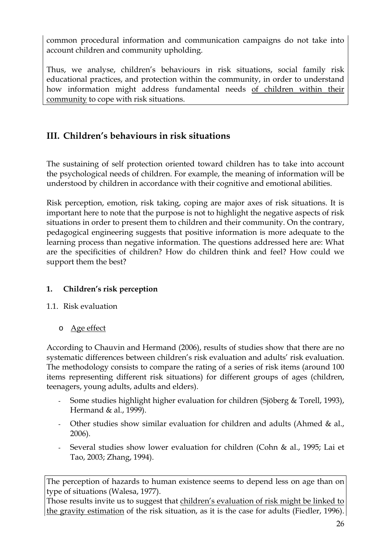<span id="page-25-0"></span>common procedural information and communication campaigns do not take into account children and community upholding.

Thus, we analyse, children's behaviours in risk situations, social family risk educational practices, and protection within the community, in order to understand how information might address fundamental needs of children within their community to cope with risk situations.

# **III. Children's behaviours in risk situations**

The sustaining of self protection oriented toward children has to take into account the psychological needs of children. For example, the meaning of information will be understood by children in accordance with their cognitive and emotional abilities.

Risk perception, emotion, risk taking, coping are major axes of risk situations. It is important here to note that the purpose is not to highlight the negative aspects of risk situations in order to present them to children and their community. On the contrary, pedagogical engineering suggests that positive information is more adequate to the learning process than negative information. The questions addressed here are: What are the specificities of children? How do children think and feel? How could we support them the best?

## **1. Children's risk perception**

#### 1.1. Risk evaluation

o Age effect

According to Chauvin and Hermand (2006), results of studies show that there are no systematic differences between children's risk evaluation and adults' risk evaluation. The methodology consists to compare the rating of a series of risk items (around 100 items representing different risk situations) for different groups of ages (children, teenagers, young adults, adults and elders).

- Some studies highlight higher evaluation for children (Sjöberg & Torell, 1993), Hermand & al., 1999).
- Other studies show similar evaluation for children and adults (Ahmed & al., 2006).
- Several studies show lower evaluation for children (Cohn & al., 1995; Lai et Tao, 2003; Zhang, 1994).

The perception of hazards to human existence seems to depend less on age than on type of situations ([Walesa,](http://www.refworks.com/Refworks/%7E0%7E) 1977).

Those results invite us to suggest that children's evaluation of risk might be linked to the gravity estimation of the risk situation, as it is the case for adults (Fiedler, 1996).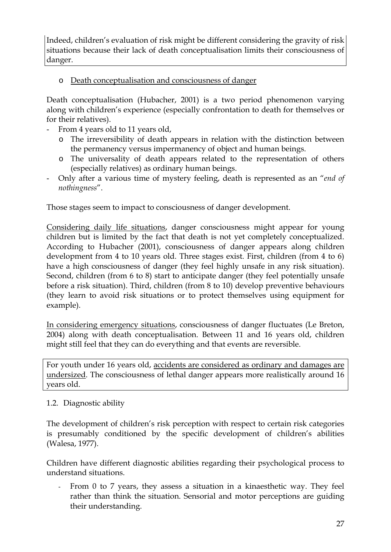<span id="page-26-0"></span>Indeed, children's evaluation of risk might be different considering the gravity of risk situations because their lack of death conceptualisation limits their consciousness of danger.

o Death conceptualisation and consciousness of danger

Death conceptualisation (Hubacher, 2001) is a two period phenomenon varying along with children's experience (especially confrontation to death for themselves or for their relatives).

- From 4 years old to 11 years old,
	- o The irreversibility of death appears in relation with the distinction between the permanency versus impermanency of object and human beings.
	- o The universality of death appears related to the representation of others (especially relatives) as ordinary human beings.
- Only after a various time of mystery feeling, death is represented as an "*end of nothingness*".

Those stages seem to impact to consciousness of danger development.

Considering daily life situations, danger consciousness might appear for young children but is limited by the fact that death is not yet completely conceptualized. According to Hubacher (2001), consciousness of danger appears along children development from 4 to 10 years old. Three stages exist. First, children (from 4 to 6) have a high consciousness of danger (they feel highly unsafe in any risk situation). Second, children (from 6 to 8) start to anticipate danger (they feel potentially unsafe before a risk situation). Third, children (from 8 to 10) develop preventive behaviours (they learn to avoid risk situations or to protect themselves using equipment for example).

In considering emergency situations, consciousness of danger fluctuates (Le Breton, 2004) along with death conceptualisation. Between 11 and 16 years old, children might still feel that they can do everything and that events are reversible.

For youth under 16 years old, accidents are considered as ordinary and damages are undersized. The consciousness of lethal danger appears more realistically around 16 years old.

#### 1.2. Diagnostic ability

The development of children's risk perception with respect to certain risk categories is presumably conditioned by the specific development of children's abilities ([Walesa,](http://www.refworks.com/Refworks/%7E0%7E) 1977).

Children have different diagnostic abilities regarding their psychological process to understand situations.

From 0 to 7 years, they assess a situation in a kinaesthetic way. They feel rather than think the situation. Sensorial and motor perceptions are guiding their understanding.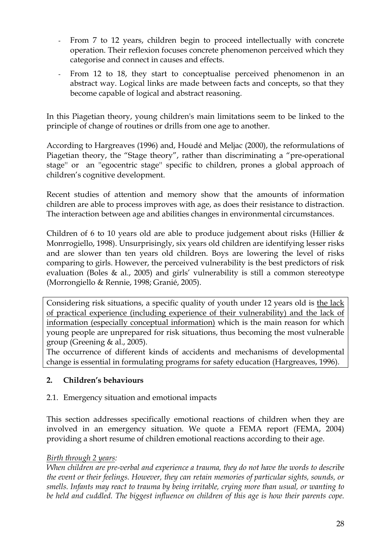- <span id="page-27-0"></span>- From 7 to 12 years, children begin to proceed intellectually with concrete operation. Their reflexion focuses concrete phenomenon perceived which they categorise and connect in causes and effects.
- From 12 to 18, they start to conceptualise perceived phenomenon in an abstract way. Logical links are made between facts and concepts, so that they become capable of logical and abstract reasoning.

In this Piagetian theory, young children's main limitations seem to be linked to the principle of change of routines or drills from one age to another.

According to Hargreaves (1996) and, Houdé and Meljac (2000), the reformulations of Piagetian theory, the "Stage theory", rather than discriminating a "pre-operational stage'' or an ''egocentric stage'' specific to children, prones a global approach of children's cognitive development.

Recent studies of attention and memory show that the amounts of information children are able to process improves with age, as does their resistance to distraction. The interaction between age and abilities changes in environmental circumstances.

Children of 6 to 10 years old are able to produce judgement about risks (Hillier & Monrrogiello, 1998). Unsurprisingly, six years old children are identifying lesser risks and are slower than ten years old children. Boys are lowering the level of risks comparing to girls. However, the perceived vulnerability is the best predictors of risk evaluation (Boles  $\&$  al., 2005) and girls' vulnerability is still a common stereotype (Morrongiello & Rennie, 1998; Granié, 2005).

Considering risk situations, a specific quality of youth under 12 years old is the lack of practical experience (including experience of their vulnerability) and the lack of information (especially conceptual information) which is the main reason for which young people are unprepared for risk situations, thus becoming the most vulnerable group (Greening & al., 2005).

The occurrence of different kinds of accidents and mechanisms of developmental change is essential in formulating programs for safety education (Hargreaves, 1996).

## **2. Children's behaviours**

#### 2.1. Emergency situation and emotional impacts

This section addresses specifically emotional reactions of children when they are involved in an emergency situation. We quote a FEMA report (FEMA, 2004) providing a short resume of children emotional reactions according to their age.

#### *Birth through 2 years:*

*When children are pre-verbal and experience a trauma, they do not have the words to describe the event or their feelings. However, they can retain memories of particular sights, sounds, or smells. Infants may react to trauma by being irritable, crying more than usual, or wanting to*  be held and cuddled. The biggest influence on children of this age is how their parents cope.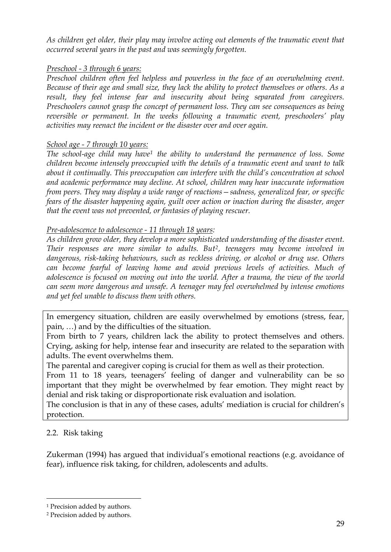<span id="page-28-0"></span>*As children get older, their play may involve acting out elements of the traumatic event that occurred several years in the past and was seemingly forgotten.* 

#### *Preschool - 3 through 6 years:*

*Preschool children often feel helpless and powerless in the face of an overwhelming event. Because of their age and small size, they lack the ability to protect themselves or others. As a result, they feel intense fear and insecurity about being separated from caregivers. Preschoolers cannot grasp the concept of permanent loss. They can see consequences as being reversible or permanent. In the weeks following a traumatic event, preschoolers' play activities may reenact the incident or the disaster over and over again.* 

#### *School age - 7 through 10 years:*

*The school-age child may have[1](#page-28-0) the ability to understand the permanence of loss. Some children become intensely preoccupied with the details of a traumatic event and want to talk about it continually. This preoccupation can interfere with the child's concentration at school and academic performance may decline. At school, children may hear inaccurate information from peers. They may display a wide range of reactions—sadness, generalized fear, or specific fears of the disaster happening again, guilt over action or inaction during the disaster, anger that the event was not prevented, or fantasies of playing rescuer.* 

#### *Pre-adolescence to adolescence - 11 through 18 years:*

*As children grow older, they develop a more sophisticated understanding of the disaster event. Their responses are more similar to adults. But[2](#page-28-0), teenagers may become involved in dangerous, risk-taking behaviours, such as reckless driving, or alcohol or drug use. Others can become fearful of leaving home and avoid previous levels of activities. Much of adolescence is focused on moving out into the world. After a trauma, the view of the world can seem more dangerous and unsafe. A teenager may feel overwhelmed by intense emotions and yet feel unable to discuss them with others.* 

In emergency situation, children are easily overwhelmed by emotions (stress, fear, pain, …) and by the difficulties of the situation.

From birth to 7 years, children lack the ability to protect themselves and others. Crying, asking for help, intense fear and insecurity are related to the separation with adults. The event overwhelms them.

The parental and caregiver coping is crucial for them as well as their protection.

From 11 to 18 years, teenagers' feeling of danger and vulnerability can be so important that they might be overwhelmed by fear emotion. They might react by denial and risk taking or disproportionate risk evaluation and isolation.

The conclusion is that in any of these cases, adults' mediation is crucial for children's protection.

#### 2.2. Risk taking

<u>.</u>

Zukerman (1994) has argued that individual's emotional reactions (e.g. avoidance of fear), influence risk taking, for children, adolescents and adults.

<sup>&</sup>lt;sup>1</sup> Precision added by authors.

<sup>2</sup> Precision added by authors.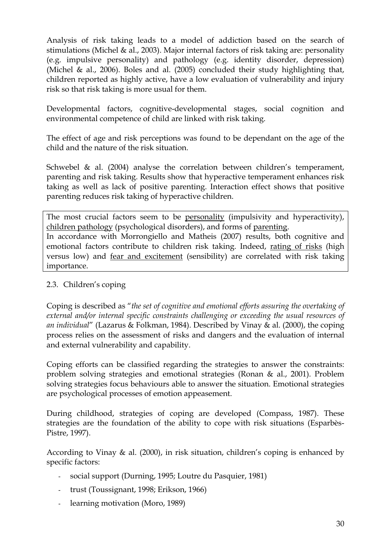<span id="page-29-0"></span>Analysis of risk taking leads to a model of addiction based on the search of stimulations (Michel & al., 2003). Major internal factors of risk taking are: personality (e.g. impulsive personality) and pathology (e.g. identity disorder, depression) (Michel & al., 2006). Boles and al. (2005) concluded their study highlighting that, children reported as highly active, have a low evaluation of vulnerability and injury risk so that risk taking is more usual for them.

Developmental factors, cognitive-developmental stages, social cognition and environmental competence of child are linked with risk taking.

The effect of age and risk perceptions was found to be dependant on the age of the child and the nature of the risk situation.

Schwebel & al. (2004) analyse the correlation between children's temperament, parenting and risk taking. Results show that hyperactive temperament enhances risk taking as well as lack of positive parenting. Interaction effect shows that positive parenting reduces risk taking of hyperactive children.

The most crucial factors seem to be personality (impulsivity and hyperactivity), children pathology (psychological disorders), and forms of parenting. In accordance with Morrongiello and Matheis (2007) results, both cognitive and emotional factors contribute to children risk taking. Indeed, rating of risks (high versus low) and fear and excitement (sensibility) are correlated with risk taking importance.

## 2.3. Children's coping

Coping is described as "*the set of cognitive and emotional efforts assuring the overtaking of external and/or internal specific constraints challenging or exceeding the usual resources of an individual*" (Lazarus & Folkman, 1984). Described by Vinay & al. (2000), the coping process relies on the assessment of risks and dangers and the evaluation of internal and external vulnerability and capability.

Coping efforts can be classified regarding the strategies to answer the constraints: problem solving strategies and emotional strategies (Ronan & al., 2001). Problem solving strategies focus behaviours able to answer the situation. Emotional strategies are psychological processes of emotion appeasement.

During childhood, strategies of coping are developed (Compass, 1987). These strategies are the foundation of the ability to cope with risk situations (Esparbès-Pistre, 1997).

According to Vinay & al. (2000), in risk situation, children's coping is enhanced by specific factors:

- social support (Durning, 1995; Loutre du Pasquier, 1981)
- trust (Toussignant, 1998; Erikson, 1966)
- learning motivation (Moro, 1989)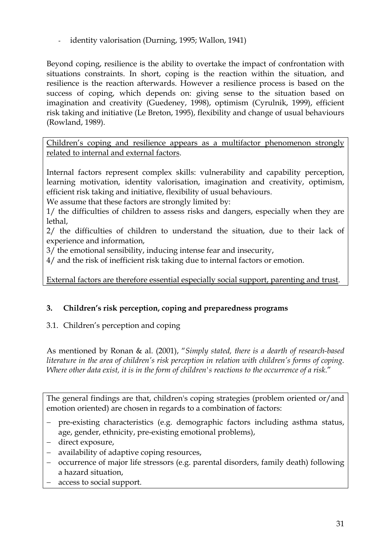<span id="page-30-0"></span>- identity valorisation (Durning, 1995; Wallon, 1941)

Beyond coping, resilience is the ability to overtake the impact of confrontation with situations constraints. In short, coping is the reaction within the situation, and resilience is the reaction afterwards. However a resilience process is based on the success of coping, which depends on: giving sense to the situation based on imagination and creativity (Guedeney, 1998), optimism (Cyrulnik, 1999), efficient risk taking and initiative (Le Breton, 1995), flexibility and change of usual behaviours (Rowland, 1989).

Children's coping and resilience appears as a multifactor phenomenon strongly related to internal and external factors.

Internal factors represent complex skills: vulnerability and capability perception, learning motivation, identity valorisation, imagination and creativity, optimism, efficient risk taking and initiative, flexibility of usual behaviours.

We assume that these factors are strongly limited by:

1/ the difficulties of children to assess risks and dangers, especially when they are lethal,

2/ the difficulties of children to understand the situation, due to their lack of experience and information,

3/ the emotional sensibility, inducing intense fear and insecurity,

4/ and the risk of inefficient risk taking due to internal factors or emotion.

External factors are therefore essential especially social support, parenting and trust.

## **3. Children's risk perception, coping and preparedness programs**

## 3.1. Children's perception and coping

As mentioned by Ronan & al. (2001), "*Simply stated, there is a dearth of research-based literature in the area of children's risk perception in relation with children's forms of coping. Where other data exist, it is in the form of children's reactions to the occurrence of a risk*."

The general findings are that, children's coping strategies (problem oriented or/and emotion oriented) are chosen in regards to a combination of factors:

- − pre-existing characteristics (e.g. demographic factors including asthma status, age, gender, ethnicity, pre-existing emotional problems),
- − direct exposure,
- − availability of adaptive coping resources,
- − occurrence of major life stressors (e.g. parental disorders, family death) following a hazard situation,
- − access to social support.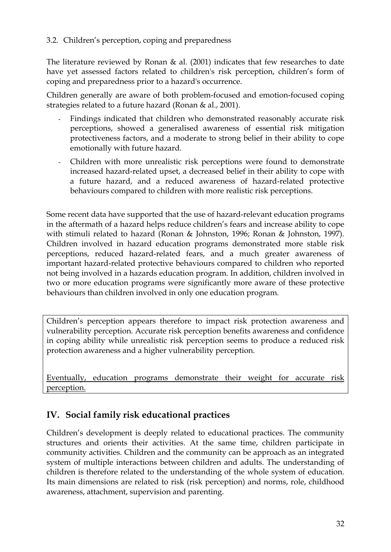#### <span id="page-31-0"></span>3.2. Children's perception, coping and preparedness

The literature reviewed by Ronan & al. (2001) indicates that few researches to date have yet assessed factors related to children's risk perception, children's form of coping and preparedness prior to a hazard's occurrence.

Children generally are aware of both problem-focused and emotion-focused coping strategies related to a future hazard (Ronan & al., 2001).

- Findings indicated that children who demonstrated reasonably accurate risk perceptions, showed a generalised awareness of essential risk mitigation protectiveness factors, and a moderate to strong belief in their ability to cope emotionally with future hazard.
- Children with more unrealistic risk perceptions were found to demonstrate increased hazard-related upset, a decreased belief in their ability to cope with a future hazard, and a reduced awareness of hazard-related protective behaviours compared to children with more realistic risk perceptions.

Some recent data have supported that the use of hazard-relevant education programs in the aftermath of a hazard helps reduce children's fears and increase ability to cope with stimuli related to hazard (Ronan & Johnston, 1996; Ronan & Johnston, 1997). Children involved in hazard education programs demonstrated more stable risk perceptions, reduced hazard-related fears, and a much greater awareness of important hazard-related protective behaviours compared to children who reported not being involved in a hazards education program. In addition, children involved in two or more education programs were significantly more aware of these protective behaviours than children involved in only one education program.

Children's perception appears therefore to impact risk protection awareness and vulnerability perception. Accurate risk perception benefits awareness and confidence in coping ability while unrealistic risk perception seems to produce a reduced risk protection awareness and a higher vulnerability perception.

Eventually, education programs demonstrate their weight for accurate risk perception.

# **IV. Social family risk educational practices**

Children's development is deeply related to educational practices. The community structures and orients their activities. At the same time, children participate in community activities. Children and the community can be approach as an integrated system of multiple interactions between children and adults. The understanding of children is therefore related to the understanding of the whole system of education. Its main dimensions are related to risk (risk perception) and norms, role, childhood awareness, attachment, supervision and parenting.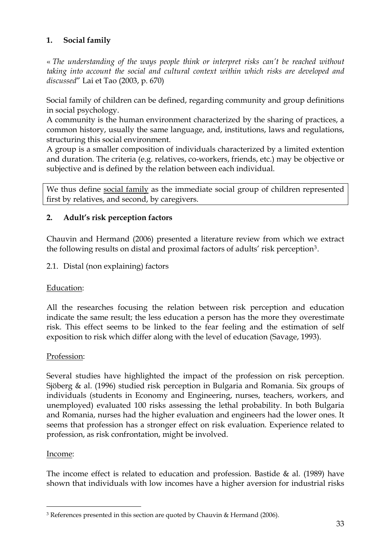## <span id="page-32-0"></span>**1. Social family**

« *The understanding of the ways people think or interpret risks can't be reached without taking into account the social and cultural context within which risks are developed and discussed*" Lai et Tao (2003, p. 670)

Social family of children can be defined, regarding community and group definitions in social psychology.

A community is the human environment characterized by the sharing of practices, a common history, usually the same language, and, institutions, laws and regulations, structuring this social environment.

A group is a smaller composition of individuals characterized by a limited extention and duration. The criteria (e.g. relatives, co-workers, friends, etc.) may be objective or subjective and is defined by the relation between each individual.

We thus define social family as the immediate social group of children represented first by relatives, and second, by caregivers.

## **2. Adult's risk perception factors**

Chauvin and Hermand (2006) presented a literature review from which we extract the following results on distal and proximal factors of adults' risk perception[3](#page-32-0).

#### 2.1. Distal (non explaining) factors

#### Education:

All the researches focusing the relation between risk perception and education indicate the same result; the less education a person has the more they overestimate risk. This effect seems to be linked to the fear feeling and the estimation of self exposition to risk which differ along with the level of education (Savage, 1993).

#### Profession:

Several studies have highlighted the impact of the profession on risk perception. Sjöberg & al. (1996) studied risk perception in Bulgaria and Romania. Six groups of individuals (students in Economy and Engineering, nurses, teachers, workers, and unemployed) evaluated 100 risks assessing the lethal probability. In both Bulgaria and Romania, nurses had the higher evaluation and engineers had the lower ones. It seems that profession has a stronger effect on risk evaluation. Experience related to profession, as risk confrontation, might be involved.

#### Income:

<u>.</u>

The income effect is related to education and profession. Bastide  $\&$  al. (1989) have shown that individuals with low incomes have a higher aversion for industrial risks

<sup>3</sup> References presented in this section are quoted by Chauvin & Hermand (2006).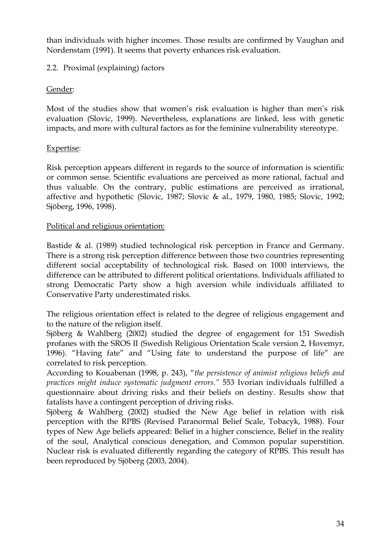<span id="page-33-0"></span>than individuals with higher incomes. Those results are confirmed by Vaughan and Nordenstam (1991). It seems that poverty enhances risk evaluation.

### 2.2. Proximal (explaining) factors

### Gender:

Most of the studies show that women's risk evaluation is higher than men's risk evaluation (Slovic, 1999). Nevertheless, explanations are linked, less with genetic impacts, and more with cultural factors as for the feminine vulnerability stereotype.

### Expertise:

Risk perception appears different in regards to the source of information is scientific or common sense. Scientific evaluations are perceived as more rational, factual and thus valuable. On the contrary, public estimations are perceived as irrational, affective and hypothetic (Slovic, 1987; Slovic & al., 1979, 1980, 1985; Slovic, 1992; Sjöberg, 1996, 1998).

### Political and religious orientation:

Bastide & al. (1989) studied technological risk perception in France and Germany. There is a strong risk perception difference between those two countries representing different social acceptability of technological risk. Based on 1000 interviews, the difference can be attributed to different political orientations. Individuals affiliated to strong Democratic Party show a high aversion while individuals affiliated to Conservative Party underestimated risks.

The religious orientation effect is related to the degree of religious engagement and to the nature of the religion itself.

Sjöberg & Wahlberg (2002) studied the degree of engagement for 151 Swedish profanes with the SROS II (Swedish Religious Orientation Scale version 2, Hovemyr, 1996). "Having fate" and "Using fate to understand the purpose of life" are correlated to risk perception.

According to Kouabenan (1998, p. 243), "*the persistence of animist religious beliefs and practices might induce systematic judgment errors."* 553 Ivorian individuals fulfilled a questionnaire about driving risks and their beliefs on destiny. Results show that fatalists have a contingent perception of driving risks.

Sjöberg & Wahlberg (2002) studied the New Age belief in relation with risk perception with the RPBS (Revised Paranormal Belief Scale, Tobacyk, 1988). Four types of New Age beliefs appeared: Belief in a higher conscience, Belief in the reality of the soul, Analytical conscious denegation, and Common popular superstition. Nuclear risk is evaluated differently regarding the category of RPBS. This result has been reproduced by Sjöberg (2003, 2004).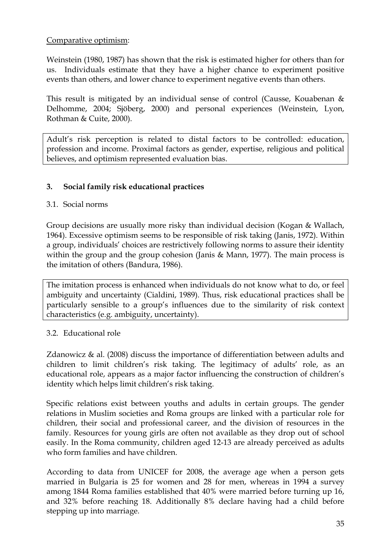#### <span id="page-34-0"></span>Comparative optimism:

Weinstein (1980, 1987) has shown that the risk is estimated higher for others than for us. Individuals estimate that they have a higher chance to experiment positive events than others, and lower chance to experiment negative events than others.

This result is mitigated by an individual sense of control (Causse, Kouabenan  $\&$ Delhomme, 2004; Sjöberg, 2000) and personal experiences (Weinstein, Lyon, Rothman & Cuite, 2000).

Adult's risk perception is related to distal factors to be controlled: education, profession and income. Proximal factors as gender, expertise, religious and political believes, and optimism represented evaluation bias.

### **3. Social family risk educational practices**

#### 3.1. Social norms

Group decisions are usually more risky than individual decision (Kogan & Wallach, 1964). Excessive optimism seems to be responsible of risk taking (Janis, 1972). Within a group, individuals' choices are restrictively following norms to assure their identity within the group and the group cohesion (Janis & Mann, 1977). The main process is the imitation of others (Bandura, 1986).

The imitation process is enhanced when individuals do not know what to do, or feel ambiguity and uncertainty (Cialdini, 1989). Thus, risk educational practices shall be particularly sensible to a group's influences due to the similarity of risk context characteristics (e.g. ambiguity, uncertainty).

#### 3.2. Educational role

Zdanowicz & al. (2008) discuss the importance of differentiation between adults and children to limit children's risk taking. The legitimacy of adults' role, as an educational role, appears as a major factor influencing the construction of children's identity which helps limit children's risk taking.

Specific relations exist between youths and adults in certain groups. The gender relations in Muslim societies and Roma groups are linked with a particular role for children, their social and professional career, and the division of resources in the family. Resources for young girls are often not available as they drop out of school easily. In the Roma community, children aged 12-13 are already perceived as adults who form families and have children.

According to data from UNICEF for 2008, the average age when a person gets married in Bulgaria is 25 for women and 28 for men, whereas in 1994 a survey among 1844 Roma families established that 40% were married before turning up 16, and 32% before reaching 18. Additionally 8% declare having had a child before stepping up into marriage.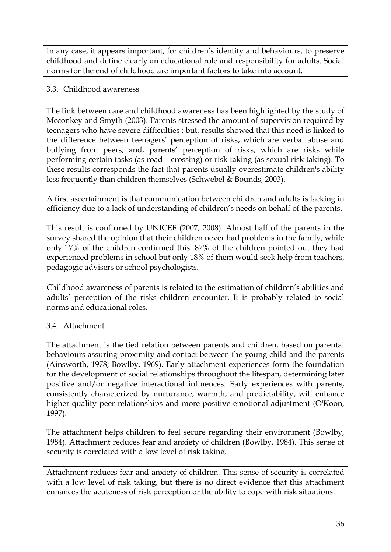<span id="page-35-0"></span>In any case, it appears important, for children's identity and behaviours, to preserve childhood and define clearly an educational role and responsibility for adults. Social norms for the end of childhood are important factors to take into account.

## 3.3. Childhood awareness

The link between care and childhood awareness has been highlighted by the study of Mcconkey and Smyth (2003). Parents stressed the amount of supervision required by teenagers who have severe difficulties ; but, results showed that this need is linked to the difference between teenagers' perception of risks, which are verbal abuse and bullying from peers, and, parents' perception of risks, which are risks while performing certain tasks (as road – crossing) or risk taking (as sexual risk taking). To these results corresponds the fact that parents usually overestimate children's ability less frequently than children themselves (Schwebel & Bounds, 2003).

A first ascertainment is that communication between children and adults is lacking in efficiency due to a lack of understanding of children's needs on behalf of the parents.

This result is confirmed by UNICEF (2007, 2008). Almost half of the parents in the survey shared the opinion that their children never had problems in the family, while only 17% of the children confirmed this. 87% of the children pointed out they had experienced problems in school but only 18% of them would seek help from teachers, pedagogic advisers or school psychologists.

Childhood awareness of parents is related to the estimation of children's abilities and adults' perception of the risks children encounter. It is probably related to social norms and educational roles.

## 3.4. Attachment

The attachment is the tied relation between parents and children, based on parental behaviours assuring proximity and contact between the young child and the parents (Ainsworth, 1978; Bowlby, 1969). Early attachment experiences form the foundation for the development of social relationships throughout the lifespan, determining later positive and/or negative interactional influences. Early experiences with parents, consistently characterized by nurturance, warmth, and predictability, will enhance higher quality peer relationships and more positive emotional adjustment (O'Koon, 1997).

The attachment helps children to feel secure regarding their environment (Bowlby, 1984). Attachment reduces fear and anxiety of children (Bowlby, 1984). This sense of security is correlated with a low level of risk taking.

Attachment reduces fear and anxiety of children. This sense of security is correlated with a low level of risk taking, but there is no direct evidence that this attachment enhances the acuteness of risk perception or the ability to cope with risk situations.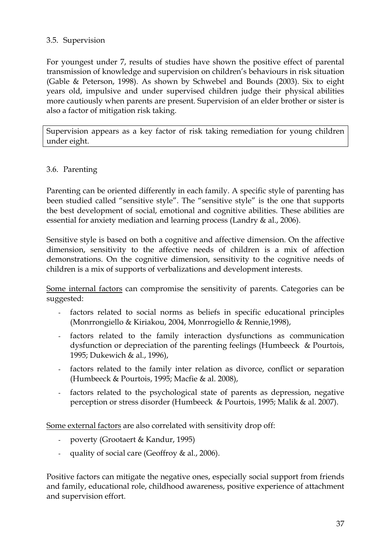#### 3.5. Supervision

For youngest under 7, results of studies have shown the positive effect of parental transmission of knowledge and supervision on children's behaviours in risk situation (Gable & Peterson, 1998). As shown by Schwebel and Bounds (2003). Six to eight years old, impulsive and under supervised children judge their physical abilities more cautiously when parents are present. Supervision of an elder brother or sister is also a factor of mitigation risk taking.

Supervision appears as a key factor of risk taking remediation for young children under eight.

#### 3.6. Parenting

Parenting can be oriented differently in each family. A specific style of parenting has been studied called "sensitive style". The "sensitive style" is the one that supports the best development of social, emotional and cognitive abilities. These abilities are essential for anxiety mediation and learning process (Landry & al., 2006).

Sensitive style is based on both a cognitive and affective dimension. On the affective dimension, sensitivity to the affective needs of children is a mix of affection demonstrations. On the cognitive dimension, sensitivity to the cognitive needs of children is a mix of supports of verbalizations and development interests.

Some internal factors can compromise the sensitivity of parents. Categories can be suggested:

- factors related to social norms as beliefs in specific educational principles (Monrrongiello & Kiriakou, 2004, Monrrogiello & Rennie,1998),
- factors related to the family interaction dysfunctions as communication dysfunction or depreciation of the parenting feelings (Humbeeck & Pourtois, 1995; Dukewich & al., 1996),
- factors related to the family inter relation as divorce, conflict or separation (Humbeeck & Pourtois, 1995; Macfie & al. 2008),
- factors related to the psychological state of parents as depression, negative perception or stress disorder (Humbeeck & Pourtois, 1995; Malik & al. 2007).

Some external factors are also correlated with sensitivity drop off:

- poverty (Grootaert & Kandur, 1995)
- quality of social care (Geoffroy & al., 2006).

Positive factors can mitigate the negative ones, especially social support from friends and family, educational role, childhood awareness, positive experience of attachment and supervision effort.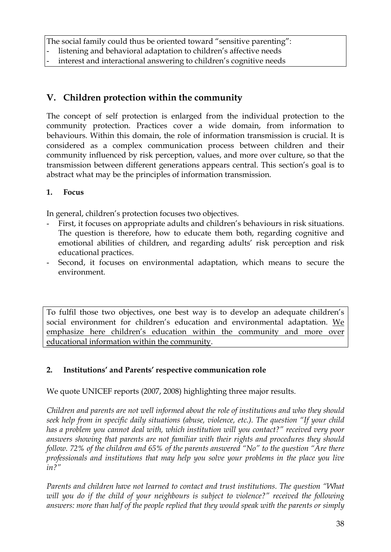The social family could thus be oriented toward "sensitive parenting": listening and behavioral adaptation to children's affective needs interest and interactional answering to children's cognitive needs

## **V. Children protection within the community**

The concept of self protection is enlarged from the individual protection to the community protection. Practices cover a wide domain, from information to behaviours. Within this domain, the role of information transmission is crucial. It is considered as a complex communication process between children and their community influenced by risk perception, values, and more over culture, so that the transmission between different generations appears central. This section's goal is to abstract what may be the principles of information transmission.

#### **1. Focus**

In general, children's protection focuses two objectives.

- First, it focuses on appropriate adults and children's behaviours in risk situations. The question is therefore, how to educate them both, regarding cognitive and emotional abilities of children, and regarding adults' risk perception and risk educational practices.
- Second, it focuses on environmental adaptation, which means to secure the environment.

To fulfil those two objectives, one best way is to develop an adequate children's social environment for children's education and environmental adaptation. We emphasize here children's education within the community and more over educational information within the community.

## **2. Institutions' and Parents' respective communication role**

We quote UNICEF reports (2007, 2008) highlighting three major results.

*Children and parents are not well informed about the role of institutions and who they should seek help from in specific daily situations (abuse, violence, etc.). The question "If your child has a problem you cannot deal with, which institution will you contact?" received very poor answers showing that parents are not familiar with their rights and procedures they should follow. 72% of the children and 65% of the parents answered "No" to the question "Are there professionals and institutions that may help you solve your problems in the place you live in?"* 

*Parents and children have not learned to contact and trust institutions. The question "What will you do if the child of your neighbours is subject to violence?" received the following answers: more than half of the people replied that they would speak with the parents or simply*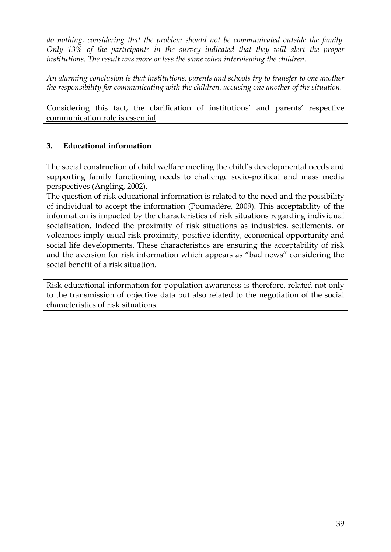*do nothing, considering that the problem should not be communicated outside the family. Only 13% of the participants in the survey indicated that they will alert the proper institutions. The result was more or less the same when interviewing the children.* 

*An alarming conclusion is that institutions, parents and schools try to transfer to one another the responsibility for communicating with the children, accusing one another of the situation.* 

Considering this fact, the clarification of institutions' and parents' respective communication role is essential.

## **3. Educational information**

The social construction of child welfare meeting the child's developmental needs and supporting family functioning needs to challenge socio-political and mass media perspectives (Angling, 2002).

The question of risk educational information is related to the need and the possibility of individual to accept the information (Poumadère, 2009). This acceptability of the information is impacted by the characteristics of risk situations regarding individual socialisation. Indeed the proximity of risk situations as industries, settlements, or volcanoes imply usual risk proximity, positive identity, economical opportunity and social life developments. These characteristics are ensuring the acceptability of risk and the aversion for risk information which appears as "bad news" considering the social benefit of a risk situation.

Risk educational information for population awareness is therefore, related not only to the transmission of objective data but also related to the negotiation of the social characteristics of risk situations.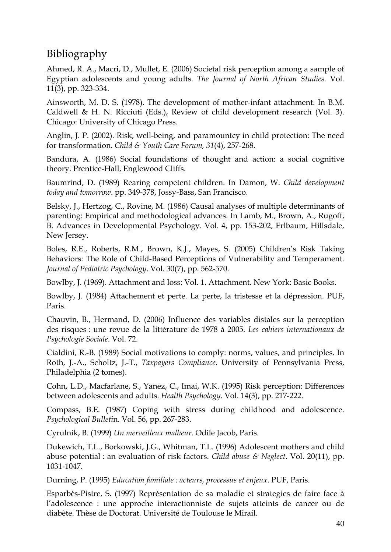# Bibliography

Ahmed, R. A., Macri, D., Mullet, E. (2006) Societal risk perception among a sample of Egyptian adolescents and young adults. *The Journal of North African Studies*. Vol. 11(3), pp. 323-334.

Ainsworth, M. D. S. (1978). The development of mother-infant attachment. In B.M. Caldwell & H. N. Ricciuti (Eds.), Review of child development research (Vol. 3). Chicago: University of Chicago Press.

Anglin, J. P. (2002). Risk, well-being, and paramountcy in child protection: The need for transformation. *Child & Youth Care Forum, 31*(4), 257-268.

Bandura, A. (1986) Social foundations of thought and action: a social cognitive theory. Prentice-Hall, Englewood Cliffs.

Baumrind, D. (1989) Rearing competent children. In Damon, W. *Child development today and tomorrow*. pp. 349-378, Jossy-Bass, San Francisco.

Belsky, J., Hertzog, C., Rovine, M. (1986) Causal analyses of multiple determinants of parenting: Empirical and methodological advances. In Lamb, M., Brown, A., Rugoff, B. Advances in Developmental Psychology. Vol. 4, pp. 153-202, Erlbaum, Hillsdale, New Jersey.

Boles, R.E., Roberts, R.M., Brown, K.J., Mayes, S. (2005) Children's Risk Taking Behaviors: The Role of Child-Based Perceptions of Vulnerability and Temperament. *Journal of Pediatric Psychology*. Vol. 30(7), pp. 562-570.

Bowlby, J. (1969). Attachment and loss: Vol. 1. Attachment. New York: Basic Books.

Bowlby, J. (1984) Attachement et perte. La perte, la tristesse et la dépression. PUF, Paris.

Chauvin, B., Hermand, D. (2006) Influence des variables distales sur la perception des risques : une revue de la littérature de 1978 à 2005. *Les cahiers internationaux de Psychologie Sociale*. Vol. 72.

Cialdini, R.-B. (1989) Social motivations to comply: norms, values, and principles. In Roth, J.-A., Scholtz, J.-T., *Taxpayers Compliance*. University of Pennsylvania Press, Philadelphia (2 tomes).

Cohn, L.D., Macfarlane, S., Yanez, C., Imai, W.K. (1995) Risk perception: Differences between adolescents and adults. *Health Psychology*. Vol. 14(3), pp. 217-222.

Compass, B.E. (1987) Coping with stress during childhood and adolescence. *Psychological Bulleti*n. Vol. 56, pp. 267-283.

Cyrulnik, B. (1999) *Un merveilleux malheur*. Odile Jacob, Paris.

Dukewich, T.L., Borkowski, J.G., Whitman, T.L. (1996) Adolescent mothers and child abuse potential : an evaluation of risk factors. *Child abuse & Neglect*. Vol. 20(11), pp. 1031-1047.

Durning, P. (1995) *Education familiale : acteurs, processus et enjeux*. PUF, Paris.

Esparbès-Pistre, S. (1997) Représentation de sa maladie et strategies de faire face à l'adolescence : une approche interactionniste de sujets atteints de cancer ou de diabète. Thèse de Doctorat. Université de Toulouse le Mirail.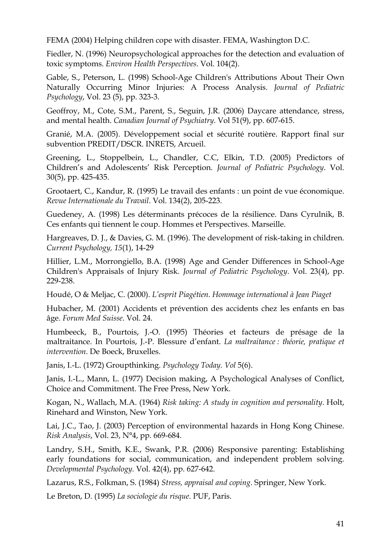FEMA (2004) Helping children cope with disaster. FEMA, Washington D.C.

Fiedler, N. (1996) Neuropsychological approaches for the detection and evaluation of toxic symptoms. *Environ Health Perspectives*. Vol. 104(2).

Gable, S., Peterson, L. (1998) School-Age Children's Attributions About Their Own Naturally Occurring Minor Injuries: A Process Analysis. *Journal of Pediatric Psychology*, Vol. 23 (5), pp. 323-3.

Geoffroy, M., Cote, S.M., Parent, S., Seguin, J.R. (2006) Daycare attendance, stress, and mental health. *Canadian Journal of Psychiatry*. Vol 51(9), pp. 607-615.

Granié, M.A. (2005). Développement social et sécurité routière. Rapport final sur subvention PREDIT/DSCR. INRETS, Arcueil.

Greening, L., Stoppelbein, L., Chandler, C.C, Elkin, T.D. (2005) Predictors of Children's and Adolescents' Risk Perception. *Journal of Pediatric Psychology*. Vol. 30(5), pp. 425-435.

Grootaert, C., Kandur, R. (1995) Le travail des enfants : un point de vue économique. *Revue Internationale du Travail*. Vol. 134(2), 205-223.

Guedeney, A. (1998) Les déterminants précoces de la résilience. Dans Cyrulnik, B. Ces enfants qui tiennent le coup. Hommes et Perspectives. Marseille.

Hargreaves, D. J., & Davies, G. M. (1996). The development of risk-taking in children. *Current Psychology, 15*(1), 14-29

Hillier, L.M., Morrongiello, B.A. (1998) Age and Gender Differences in School-Age Children's Appraisals of Injury Risk. *Journal of Pediatric Psychology*. Vol. 23(4), pp. 229-238.

Houdé, O & Meljac, C. (2000). *L'esprit Piagétien. Hommage international à Jean Piaget* 

Hubacher, M. (2001) Accidents et prévention des accidents chez les enfants en bas âge. *Forum Med Suisse*. Vol. 24.

Humbeeck, B., Pourtois, J.-O. (1995) Théories et facteurs de présage de la maltraitance. In Pourtois, J.-P. Blessure d'enfant. *La maltraitance : théorie, pratique et intervention*. De Boeck, Bruxelles.

Janis, I.-L. (1972) Groupthinking. *Psychology Today. Vol* 5(6).

Janis, I.-L., Mann, L. (1977) Decision making, A Psychological Analyses of Conflict, Choice and Commitment. The Free Press, New York.

Kogan, N., Wallach, M.A. (1964) *Risk taking: A study in cognition and personality*. Holt, Rinehard and Winston, New York.

Lai, J.C., Tao, J. (2003) Perception of environmental hazards in Hong Kong Chinese. *Risk Analysis*, Vol. 23, N°4, pp. 669-684.

Landry, S.H., Smith, K.E., Swank, P.R. (2006) Responsive parenting: Establishing early foundations for social, communication, and independent problem solving. *Developmental Psychology.* Vol. 42(4), pp. 627-642.

Lazarus, R.S., Folkman, S. (1984) *Stress, appraisal and coping*. Springer, New York.

Le Breton, D. (1995) *La sociologie du risque*. PUF, Paris.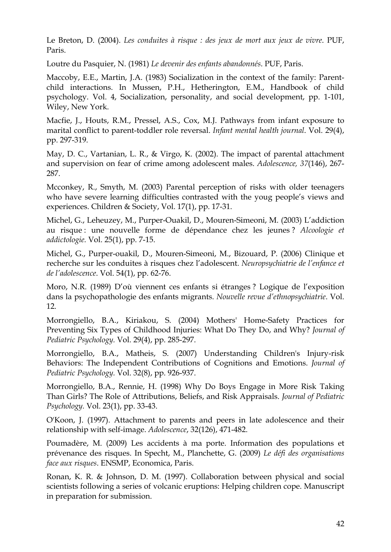Le Breton, D. (2004). *Les conduites à risque : des jeux de mort aux jeux de vivre*. PUF, Paris.

Loutre du Pasquier, N. (1981) *Le devenir des enfants abandonnés*. PUF, Paris.

Maccoby, E.E., Martin, J.A. (1983) Socialization in the context of the family: Parentchild interactions. In Mussen, P.H., Hetherington, E.M., Handbook of child psychology. Vol. 4, Socialization, personality, and social development, pp. 1-101, Wiley, New York.

Macfie, J., Houts, R.M., Pressel, A.S., Cox, M.J. Pathways from infant exposure to marital conflict to parent-toddler role reversal. *Infant mental health journal*. Vol. 29(4), pp. 297-319.

May, D. C., Vartanian, L. R., & Virgo, K. (2002). The impact of parental attachment and supervision on fear of crime among adolescent males. *Adolescence, 37*(146), 267- 287.

Mcconkey, R., Smyth, M. (2003) Parental perception of risks with older teenagers who have severe learning difficulties contrasted with the youg people's views and experiences. Children & Society, Vol. 17(1), pp. 17-31.

Michel, G., Leheuzey, M., Purper-Ouakil, D., Mouren-Simeoni, M. (2003) L'addiction au risque : une nouvelle forme de dépendance chez les jeunes ? *Alcoologie et addictologie.* Vol. 25(1), pp. 7-15.

Michel, G., Purper-ouakil, D., Mouren-Simeoni, M., Bizouard, P. (2006) Clinique et recherche sur les conduites à risques chez l'adolescent. *Neuropsychiatrie de l'enfance et de l'adolescence*. Vol. 54(1), pp. 62-76.

Moro, N.R. (1989) D'où viennent ces enfants si étranges ? Logique de l'exposition dans la psychopathologie des enfants migrants. *Nouvelle revue d'ethnopsychiatrie*. Vol. 12.

Morrongiello, B.A., Kiriakou, S. (2004) Mothers' Home-Safety Practices for Preventing Six Types of Childhood Injuries: What Do They Do, and Why? *Journal of Pediatric Psychology.* Vol. 29(4), pp. 285-297.

Morrongiello, B.A., Matheis, S. (2007) Understanding Children's Injury-risk Behaviors: The Independent Contributions of Cognitions and Emotions. *Journal of Pediatric Psychology.* Vol. 32(8), pp. 926-937.

Morrongiello, B.A., Rennie, H. (1998) Why Do Boys Engage in More Risk Taking Than Girls? The Role of Attributions, Beliefs, and Risk Appraisals. *Journal of Pediatric Psychology.* Vol. 23(1), pp. 33-43.

O'Koon, J. (1997). Attachment to parents and peers in late adolescence and their relationship with self-image. *Adolescence*, 32(126), 471-482.

Poumadère, M. (2009) Les accidents à ma porte. Information des populations et prévenance des risques. In Specht, M., Planchette, G. (2009) *Le défi des organisations face aux risques*. ENSMP, Economica, Paris.

Ronan, K. R. & Johnson, D. M. (1997). Collaboration between physical and social scientists following a series of volcanic eruptions: Helping children cope. Manuscript in preparation for submission.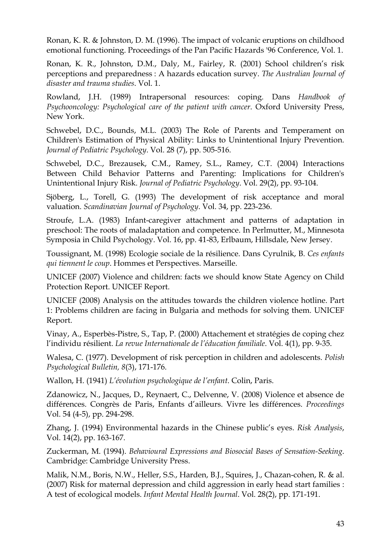Ronan, K. R. & Johnston, D. M. (1996). The impact of volcanic eruptions on childhood emotional functioning. Proceedings of the Pan Pacific Hazards '96 Conference, Vol. 1.

Ronan, K. R., Johnston, D.M., Daly, M., Fairley, R. (2001) School children's risk perceptions and preparedness : A hazards education survey. *The Australian Journal of disaster and trauma studies*. Vol. 1.

Rowland, J.H. (1989) Intrapersonal resources: coping. Dans *Handbook of Psychooncology: Psychological care of the patient with cancer*. Oxford University Press, New York.

Schwebel, D.C., Bounds, M.L. (2003) The Role of Parents and Temperament on Children's Estimation of Physical Ability: Links to Unintentional Injury Prevention. *Journal of Pediatric Psychology*. Vol. 28 (7), pp. 505-516.

Schwebel, D.C., Brezausek, C.M., Ramey, S.L., Ramey, C.T. (2004) Interactions Between Child Behavior Patterns and Parenting: Implications for Children's Unintentional Injury Risk. *Journal of Pediatric Psychology*. Vol. 29(2), pp. 93-104.

Sjöberg, L., Torell, G. (1993) The development of risk acceptance and moral valuation. *Scandinavian Journal of Psychology*. Vol. 34, pp. 223-236.

Stroufe, L.A. (1983) Infant-caregiver attachment and patterns of adaptation in preschool: The roots of maladaptation and competence. In Perlmutter, M., Minnesota Symposia in Child Psychology. Vol. 16, pp. 41-83, Erlbaum, Hillsdale, New Jersey.

Toussignant, M. (1998) Ecologie sociale de la résilience. Dans Cyrulnik, B. *Ces enfants qui tiennent le coup*. Hommes et Perspectives. Marseille.

UNICEF (2007) Violence and children: facts we should know State Agency on Child Protection Report. UNICEF Report.

UNICEF (2008) Analysis on the attitudes towards the children violence hotline. Part 1: Problems children are facing in Bulgaria and methods for solving them. UNICEF Report.

Vinay, A., Esperbès-Pistre, S., Tap, P. (2000) Attachement et stratégies de coping chez l'individu résilient. *La revue Internationale de l'éducation familiale*. Vol. 4(1), pp. 9-35.

Walesa, C. (1977). Development of risk perception in children and adolescents. *Polish Psychological Bulletin, 8*(3), 171-176.

Wallon, H. (1941) *L'évolution psychologique de l'enfant*. Colin, Paris.

Zdanowicz, N., Jacques, D., Reynaert, C., Delvenne, V. (2008) Violence et absence de différences. Congrès de Paris, Enfants d'ailleurs. Vivre les différences. *Proceedings*  Vol. 54 (4-5), pp. 294-298.

Zhang, J. (1994) Environmental hazards in the Chinese public's eyes. *Risk Analysis*, Vol. 14(2), pp. 163-167.

Zuckerman, M. (1994). *Behavioural Expressions and Biosocial Bases of Sensation-Seeking*. Cambridge: Cambridge University Press.

Malik, N.M., Boris, N.W., Heller, S.S., Harden, B.J., Squires, J., Chazan-cohen, R. & al. (2007) Risk for maternal depression and child aggression in early head start families : A test of ecological models. *Infant Mental Health Journal*. Vol. 28(2), pp. 171-191.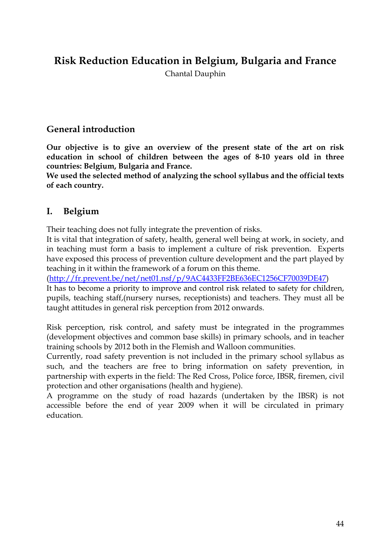## **Risk Reduction Education in Belgium, Bulgaria and France**

Chantal Dauphin

## **General introduction**

**Our objective is to give an overview of the present state of the art on risk education in school of children between the ages of 8-10 years old in three countries: Belgium, Bulgaria and France.** 

**We used the selected method of analyzing the school syllabus and the official texts of each country.** 

## **I. Belgium**

Their teaching does not fully integrate the prevention of risks.

It is vital that integration of safety, health, general well being at work, in society, and in teaching must form a basis to implement a culture of risk prevention. Experts have exposed this process of prevention culture development and the part played by teaching in it within the framework of a forum on this theme.

([http://fr.prevent.be/net/net01.nsf/p/9AC4433FF2BE636EC1256CF70039DE47\)](http://fr.prevent.be/net/net01.nsf/p/9AC4433FF2BE636EC1256CF70039DE47)

It has to become a priority to improve and control risk related to safety for children, pupils, teaching staff,(nursery nurses, receptionists) and teachers. They must all be taught attitudes in general risk perception from 2012 onwards.

Risk perception, risk control, and safety must be integrated in the programmes (development objectives and common base skills) in primary schools, and in teacher training schools by 2012 both in the Flemish and Walloon communities.

Currently, road safety prevention is not included in the primary school syllabus as such, and the teachers are free to bring information on safety prevention, in partnership with experts in the field: The Red Cross, Police force, IBSR, firemen, civil protection and other organisations (health and hygiene).

A programme on the study of road hazards (undertaken by the IBSR) is not accessible before the end of year 2009 when it will be circulated in primary education.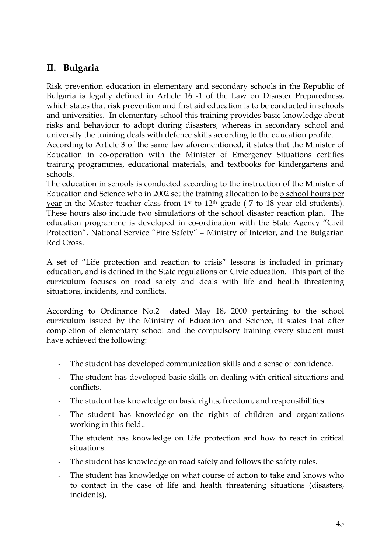## **II. Bulgaria**

Risk prevention education in elementary and secondary schools in the Republic of Bulgaria is legally defined in Article 16 -1 of the Law on Disaster Preparedness, which states that risk prevention and first aid education is to be conducted in schools and universities. In elementary school this training provides basic knowledge about risks and behaviour to adopt during disasters, whereas in secondary school and university the training deals with defence skills according to the education profile.

According to Article 3 of the same law aforementioned, it states that the Minister of Education in co-operation with the Minister of Emergency Situations certifies training programmes, educational materials, and textbooks for kindergartens and schools.

The education in schools is conducted according to the instruction of the Minister of Education and Science who in 2002 set the training allocation to be 5 school hours per year in the Master teacher class from 1<sup>st</sup> to 12<sup>th</sup> grade (7 to 18 year old students). These hours also include two simulations of the school disaster reaction plan. The education programme is developed in co-ordination with the State Agency "Civil Protection", National Service "Fire Safety" – Ministry of Interior, and the Bulgarian Red Cross.

A set of "Life protection and reaction to crisis" lessons is included in primary education, and is defined in the State regulations on Civic education. This part of the curriculum focuses on road safety and deals with life and health threatening situations, incidents, and conflicts.

According to Ordinance No.2 dated May 18, 2000 pertaining to the school curriculum issued by the Ministry of Education and Science, it states that after completion of elementary school and the compulsory training every student must have achieved the following:

- The student has developed communication skills and a sense of confidence.
- The student has developed basic skills on dealing with critical situations and conflicts.
- The student has knowledge on basic rights, freedom, and responsibilities.
- The student has knowledge on the rights of children and organizations working in this field..
- The student has knowledge on Life protection and how to react in critical situations.
- The student has knowledge on road safety and follows the safety rules.
- The student has knowledge on what course of action to take and knows who to contact in the case of life and health threatening situations (disasters, incidents).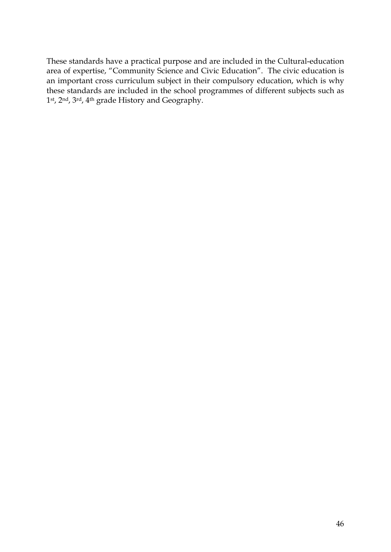These standards have a practical purpose and are included in the Cultural-education area of expertise, "Community Science and Civic Education". The civic education is an important cross curriculum subject in their compulsory education, which is why these standards are included in the school programmes of different subjects such as 1st, 2nd, 3rd, 4th grade History and Geography.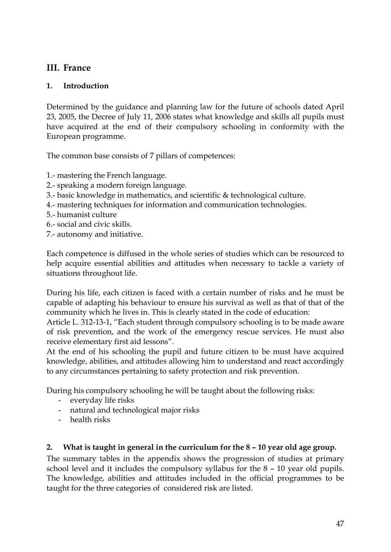## **III. France**

### **1. Introduction**

Determined by the guidance and planning law for the future of schools dated April 23, 2005, the Decree of July 11, 2006 states what knowledge and skills all pupils must have acquired at the end of their compulsory schooling in conformity with the European programme.

The common base consists of 7 pillars of competences:

- 1.- mastering the French language.
- 2.- speaking a modern foreign language.
- 3.- basic knowledge in mathematics, and scientific & technological culture.
- 4.- mastering techniques for information and communication technologies.
- 5.- humanist culture
- 6.- social and civic skills.
- 7.- autonomy and initiative.

Each competence is diffused in the whole series of studies which can be resourced to help acquire essential abilities and attitudes when necessary to tackle a variety of situations throughout life.

During his life, each citizen is faced with a certain number of risks and he must be capable of adapting his behaviour to ensure his survival as well as that of that of the community which he lives in. This is clearly stated in the code of education:

Article L. 312-13-1, "Each student through compulsory schooling is to be made aware of risk prevention, and the work of the emergency rescue services. He must also receive elementary first aid lessons".

At the end of his schooling the pupil and future citizen to be must have acquired knowledge, abilities, and attitudes allowing him to understand and react accordingly to any circumstances pertaining to safety protection and risk prevention.

During his compulsory schooling he will be taught about the following risks:

- everyday life risks
- natural and technological major risks
- health risks

## **2. What is taught in general in the curriculum for the 8 – 10 year old age group.**

The summary tables in the appendix shows the progression of studies at primary school level and it includes the compulsory syllabus for the 8 – 10 year old pupils. The knowledge, abilities and attitudes included in the official programmes to be taught for the three categories of considered risk are listed.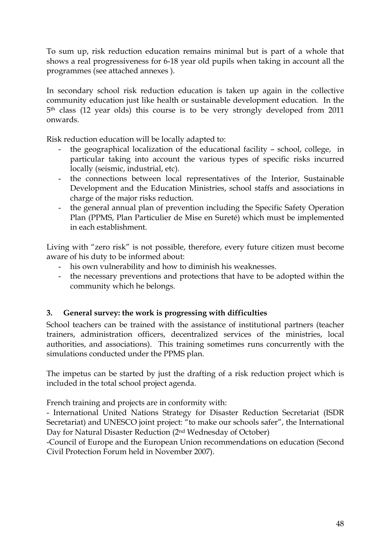To sum up, risk reduction education remains minimal but is part of a whole that shows a real progressiveness for 6-18 year old pupils when taking in account all the programmes (see attached annexes ).

In secondary school risk reduction education is taken up again in the collective community education just like health or sustainable development education. In the 5th class (12 year olds) this course is to be very strongly developed from 2011 onwards.

Risk reduction education will be locally adapted to:

- the geographical localization of the educational facility school, college, in particular taking into account the various types of specific risks incurred locally (seismic, industrial, etc).
- the connections between local representatives of the Interior, Sustainable Development and the Education Ministries, school staffs and associations in charge of the major risks reduction.
- the general annual plan of prevention including the Specific Safety Operation Plan (PPMS, Plan Particulier de Mise en Sureté) which must be implemented in each establishment.

Living with "zero risk" is not possible, therefore, every future citizen must become aware of his duty to be informed about:

- his own vulnerability and how to diminish his weaknesses.
- the necessary preventions and protections that have to be adopted within the community which he belongs.

## **3. General survey: the work is progressing with difficulties**

School teachers can be trained with the assistance of institutional partners (teacher trainers, administration officers, decentralized services of the ministries, local authorities, and associations). This training sometimes runs concurrently with the simulations conducted under the PPMS plan.

The impetus can be started by just the drafting of a risk reduction project which is included in the total school project agenda.

French training and projects are in conformity with:

- International United Nations Strategy for Disaster Reduction Secretariat (ISDR Secretariat) and UNESCO joint project: "to make our schools safer", the International Day for Natural Disaster Reduction (2nd Wednesday of October)

-Council of Europe and the European Union recommendations on education (Second Civil Protection Forum held in November 2007).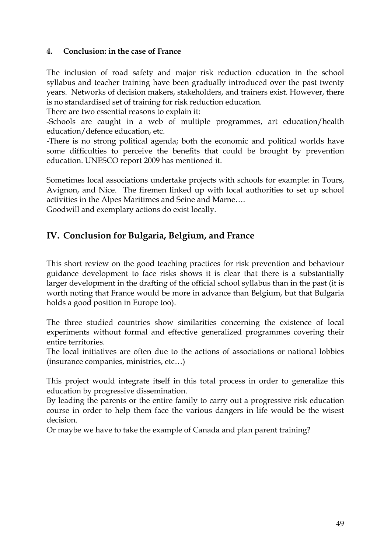#### **4. Conclusion: in the case of France**

The inclusion of road safety and major risk reduction education in the school syllabus and teacher training have been gradually introduced over the past twenty years. Networks of decision makers, stakeholders, and trainers exist. However, there is no standardised set of training for risk reduction education.

There are two essential reasons to explain it:

-Schools are caught in a web of multiple programmes, art education/health education/defence education, etc.

-There is no strong political agenda; both the economic and political worlds have some difficulties to perceive the benefits that could be brought by prevention education. UNESCO report 2009 has mentioned it.

Sometimes local associations undertake projects with schools for example: in Tours, Avignon, and Nice. The firemen linked up with local authorities to set up school activities in the Alpes Maritimes and Seine and Marne….

Goodwill and exemplary actions do exist locally.

## **IV. Conclusion for Bulgaria, Belgium, and France**

This short review on the good teaching practices for risk prevention and behaviour guidance development to face risks shows it is clear that there is a substantially larger development in the drafting of the official school syllabus than in the past (it is worth noting that France would be more in advance than Belgium, but that Bulgaria holds a good position in Europe too).

The three studied countries show similarities concerning the existence of local experiments without formal and effective generalized programmes covering their entire territories.

The local initiatives are often due to the actions of associations or national lobbies (insurance companies, ministries, etc…)

This project would integrate itself in this total process in order to generalize this education by progressive dissemination.

By leading the parents or the entire family to carry out a progressive risk education course in order to help them face the various dangers in life would be the wisest decision.

Or maybe we have to take the example of Canada and plan parent training?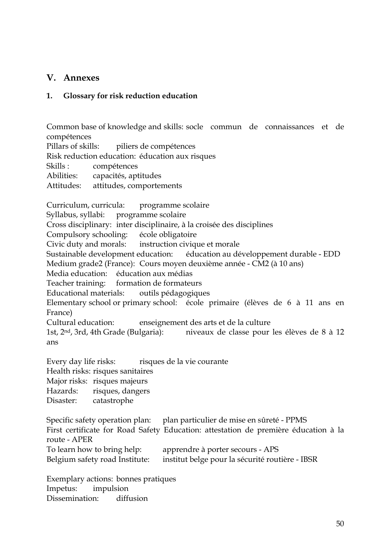### **V. Annexes**

#### **1. Glossary for risk reduction education**

Common base of knowledge and skills: socle commun de connaissances et de compétences Pillars of skills: piliers de compétences Risk reduction education: éducation aux risques Skills : compétences Abilities: capacités, aptitudes Attitudes: attitudes, comportements Curriculum, curricula: programme scolaire Syllabus, syllabi: programme scolaire Cross disciplinary: inter disciplinaire, à la croisée des disciplines Compulsory schooling: école obligatoire Civic duty and morals: instruction civique et morale Sustainable development education: éducation au développement durable - EDD Medium grade2 (France): Cours moyen deuxième année - CM2 (à 10 ans) Media education: éducation aux médias Teacher training: formation de formateurs Educational materials: outils pédagogiques Elementary school or primary school: école primaire (élèves de 6 à 11 ans en France) Cultural education: enseignement des arts et de la culture 1st, 2nd, 3rd, 4th Grade (Bulgaria): niveaux de classe pour les élèves de 8 à 12 ans Every day life risks: risques de la vie courante Health risks: risques sanitaires

Major risks: risques majeurs

Hazards: risques, dangers

Disaster: catastrophe

Specific safety operation plan: plan particulier de mise en sûreté - PPMS First certificate for Road Safety Education: attestation de première éducation à la route - APER To learn how to bring help: apprendre à porter secours - APS Belgium safety road Institute: institut belge pour la sécurité routière - IBSR

Exemplary actions: bonnes pratiques Impetus: impulsion Dissemination: diffusion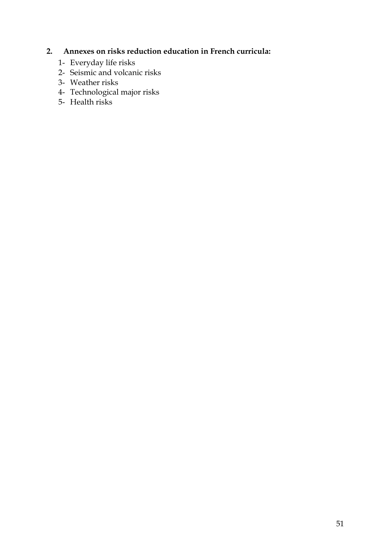## **2. Annexes on risks reduction education in French curricula:**

- 1- Everyday life risks
- 2- Seismic and volcanic risks
- 3- Weather risks
- 4- Technological major risks
- 5- Health risks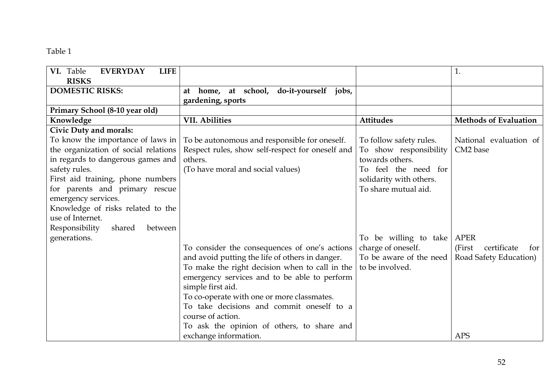#### Table 1

| VI. Table<br><b>EVERYDAY</b><br><b>LIFE</b> |                                                  |                         | 1.                            |
|---------------------------------------------|--------------------------------------------------|-------------------------|-------------------------------|
| <b>RISKS</b>                                |                                                  |                         |                               |
| <b>DOMESTIC RISKS:</b>                      | home, at school, do-it-yourself jobs,<br>at      |                         |                               |
|                                             | gardening, sports                                |                         |                               |
| Primary School (8-10 year old)              |                                                  |                         |                               |
| Knowledge                                   | <b>VII. Abilities</b>                            | <b>Attitudes</b>        | <b>Methods of Evaluation</b>  |
| <b>Civic Duty and morals:</b>               |                                                  |                         |                               |
| To know the importance of laws in           | To be autonomous and responsible for oneself.    | To follow safety rules. | National evaluation of        |
| the organization of social relations        | Respect rules, show self-respect for oneself and | To show responsibility  | CM2 base                      |
| in regards to dangerous games and           | others.                                          | towards others.         |                               |
| safety rules.                               | (To have moral and social values)                | To feel the need for    |                               |
| First aid training, phone numbers           |                                                  | solidarity with others. |                               |
| for parents and primary rescue              |                                                  | To share mutual aid.    |                               |
| emergency services.                         |                                                  |                         |                               |
| Knowledge of risks related to the           |                                                  |                         |                               |
| use of Internet.                            |                                                  |                         |                               |
| Responsibility<br>shared<br>between         |                                                  |                         |                               |
| generations.                                |                                                  | To be willing to take   | <b>APER</b>                   |
|                                             | To consider the consequences of one's actions    | charge of oneself.      | certificate<br>(First)<br>for |
|                                             | and avoid putting the life of others in danger.  | To be aware of the need | Road Safety Education)        |
|                                             | To make the right decision when to call in the   | to be involved.         |                               |
|                                             | emergency services and to be able to perform     |                         |                               |
|                                             | simple first aid.                                |                         |                               |
|                                             | To co-operate with one or more classmates.       |                         |                               |
|                                             | To take decisions and commit oneself to a        |                         |                               |
|                                             | course of action.                                |                         |                               |
|                                             | To ask the opinion of others, to share and       |                         |                               |
|                                             | exchange information.                            |                         | <b>APS</b>                    |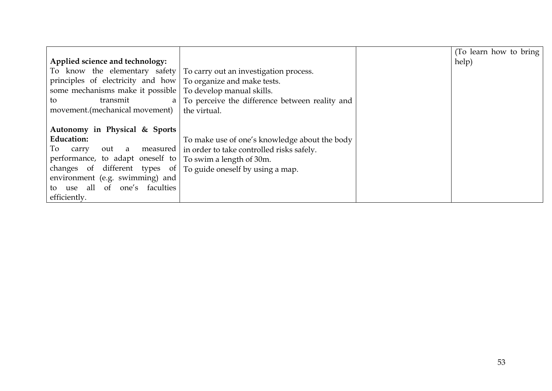|                                   |                                                | (To learn how to bring |
|-----------------------------------|------------------------------------------------|------------------------|
| Applied science and technology:   |                                                | help)                  |
| To know the elementary safety     | To carry out an investigation process.         |                        |
| principles of electricity and how | To organize and make tests.                    |                        |
| some mechanisms make it possible  | To develop manual skills.                      |                        |
| transmit<br>to<br>a               | To perceive the difference between reality and |                        |
| movement.(mechanical movement)    | the virtual.                                   |                        |
|                                   |                                                |                        |
| Autonomy in Physical & Sports     |                                                |                        |
| <b>Education:</b>                 | To make use of one's knowledge about the body  |                        |
| To<br>out a<br>measured<br>carry  | in order to take controlled risks safely.      |                        |
| performance, to adapt oneself to  | To swim a length of 30m.                       |                        |
| changes of different types of     | To guide oneself by using a map.               |                        |
| environment (e.g. swimming) and   |                                                |                        |
| to use all of one's faculties     |                                                |                        |
| efficiently.                      |                                                |                        |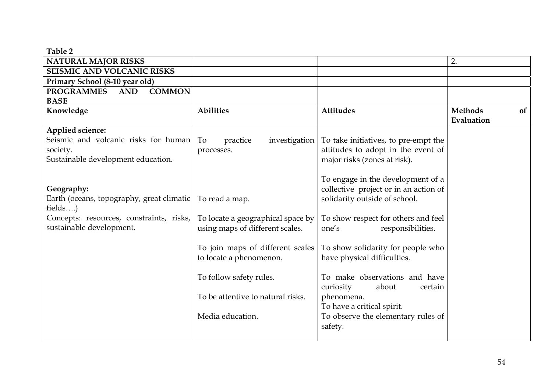#### **Table 2**

| <b>NATURAL MAJOR RISKS</b>                       |                                   |                                       | 2.                   |
|--------------------------------------------------|-----------------------------------|---------------------------------------|----------------------|
| SEISMIC AND VOLCANIC RISKS                       |                                   |                                       |                      |
| Primary School (8-10 year old)                   |                                   |                                       |                      |
| <b>PROGRAMMES</b><br><b>COMMON</b><br><b>AND</b> |                                   |                                       |                      |
| <b>BASE</b>                                      |                                   |                                       |                      |
| Knowledge                                        | <b>Abilities</b>                  | <b>Attitudes</b>                      | <b>Methods</b><br>of |
|                                                  |                                   |                                       | Evaluation           |
| Applied science:                                 |                                   |                                       |                      |
| Seismic and volcanic risks for human             | To<br>investigation<br>practice   | To take initiatives, to pre-empt the  |                      |
| society.                                         | processes.                        | attitudes to adopt in the event of    |                      |
| Sustainable development education.               |                                   | major risks (zones at risk).          |                      |
|                                                  |                                   |                                       |                      |
|                                                  |                                   | To engage in the development of a     |                      |
| Geography:                                       |                                   | collective project or in an action of |                      |
| Earth (oceans, topography, great climatic        | To read a map.                    | solidarity outside of school.         |                      |
| fields)                                          |                                   |                                       |                      |
| Concepts: resources, constraints, risks,         | To locate a geographical space by | To show respect for others and feel   |                      |
| sustainable development.                         | using maps of different scales.   | one's<br>responsibilities.            |                      |
|                                                  |                                   |                                       |                      |
|                                                  | To join maps of different scales  | To show solidarity for people who     |                      |
|                                                  | to locate a phenomenon.           | have physical difficulties.           |                      |
|                                                  |                                   |                                       |                      |
|                                                  | To follow safety rules.           | To make observations and have         |                      |
|                                                  |                                   | curiosity<br>about<br>certain         |                      |
|                                                  | To be attentive to natural risks. | phenomena.                            |                      |
|                                                  |                                   | To have a critical spirit.            |                      |
|                                                  | Media education.                  | To observe the elementary rules of    |                      |
|                                                  |                                   | safety.                               |                      |
|                                                  |                                   |                                       |                      |
|                                                  |                                   |                                       |                      |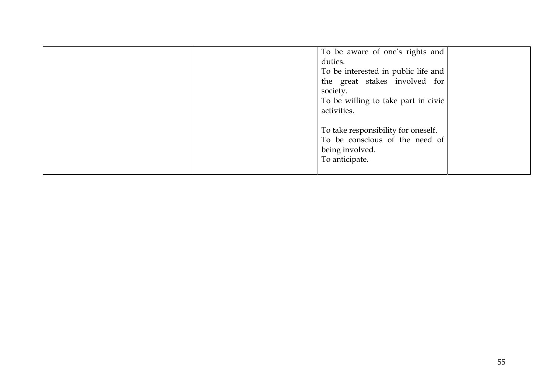|  | To be aware of one's rights and     |  |
|--|-------------------------------------|--|
|  | duties.                             |  |
|  | To be interested in public life and |  |
|  | the great stakes involved for       |  |
|  | society.                            |  |
|  | To be willing to take part in civic |  |
|  | activities.                         |  |
|  |                                     |  |
|  | To take responsibility for oneself. |  |
|  | To be conscious of the need of      |  |
|  | being involved.                     |  |
|  | To anticipate.                      |  |
|  |                                     |  |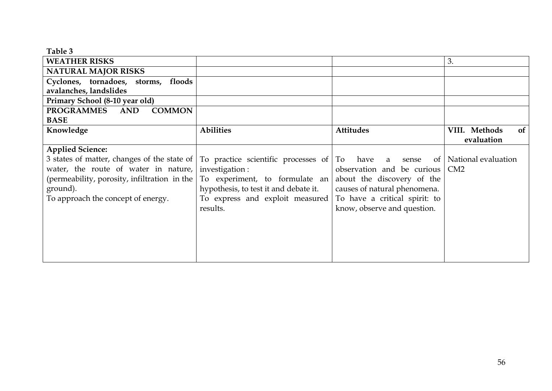| Table 3                                                                                                                      |                                                               |                              |                     |
|------------------------------------------------------------------------------------------------------------------------------|---------------------------------------------------------------|------------------------------|---------------------|
| <b>WEATHER RISKS</b>                                                                                                         |                                                               |                              | 3.                  |
| <b>NATURAL MAJOR RISKS</b>                                                                                                   |                                                               |                              |                     |
| Cyclones, tornadoes, storms, floods                                                                                          |                                                               |                              |                     |
| avalanches, landslides                                                                                                       |                                                               |                              |                     |
| Primary School (8-10 year old)                                                                                               |                                                               |                              |                     |
| PROGRAMMES AND<br><b>COMMON</b>                                                                                              |                                                               |                              |                     |
| <b>BASE</b>                                                                                                                  |                                                               |                              |                     |
| Knowledge                                                                                                                    | <b>Abilities</b>                                              | <b>Attitudes</b>             | VIII. Methods<br>of |
|                                                                                                                              |                                                               |                              | evaluation          |
| <b>Applied Science:</b>                                                                                                      |                                                               |                              |                     |
| 3 states of matter, changes of the state of   To practice scientific processes of   To have a sense of   National evaluation |                                                               |                              |                     |
| water, the route of water in nature,                                                                                         | investigation:                                                | observation and be curious   | CM2                 |
| (permeability, porosity, infiltration in the $ $                                                                             | To experiment, to formulate an about the discovery of the     |                              |                     |
| ground).                                                                                                                     | hypothesis, to test it and debate it.                         | causes of natural phenomena. |                     |
| To approach the concept of energy.                                                                                           | To express and exploit measured To have a critical spirit: to |                              |                     |
|                                                                                                                              | results.                                                      | know, observe and question.  |                     |
|                                                                                                                              |                                                               |                              |                     |
|                                                                                                                              |                                                               |                              |                     |
|                                                                                                                              |                                                               |                              |                     |
|                                                                                                                              |                                                               |                              |                     |
|                                                                                                                              |                                                               |                              |                     |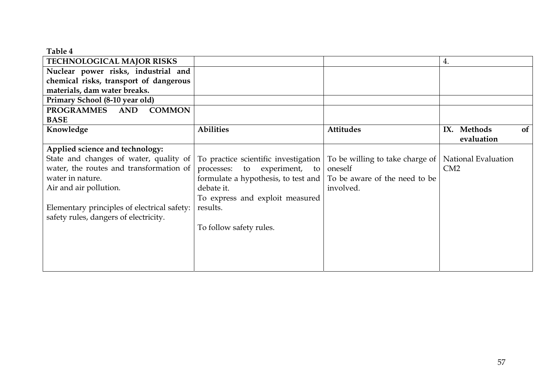| Table 4                                          |                                                                           |                                 |                       |    |
|--------------------------------------------------|---------------------------------------------------------------------------|---------------------------------|-----------------------|----|
| TECHNOLOGICAL MAJOR RISKS                        |                                                                           |                                 | 4.                    |    |
| Nuclear power risks, industrial and              |                                                                           |                                 |                       |    |
| chemical risks, transport of dangerous           |                                                                           |                                 |                       |    |
| materials, dam water breaks.                     |                                                                           |                                 |                       |    |
| Primary School (8-10 year old)                   |                                                                           |                                 |                       |    |
| <b>PROGRAMMES</b><br><b>COMMON</b><br><b>AND</b> |                                                                           |                                 |                       |    |
| <b>BASE</b>                                      |                                                                           |                                 |                       |    |
| Knowledge                                        | <b>Abilities</b>                                                          | <b>Attitudes</b>                | <b>Methods</b><br>IX. | of |
|                                                  |                                                                           |                                 | evaluation            |    |
| Applied science and technology:                  |                                                                           |                                 |                       |    |
| State and changes of water, quality of           | To practice scientific investigation                                      | To be willing to take charge of | National Evaluation   |    |
| water, the routes and transformation of          | processes: to<br>experiment,<br>to                                        | oneself                         | CM2                   |    |
| water in nature.                                 | formulate a hypothesis, to test and $\vert$ To be aware of the need to be |                                 |                       |    |
| Air and air pollution.                           | debate it.                                                                | involved.                       |                       |    |
|                                                  | To express and exploit measured                                           |                                 |                       |    |
| Elementary principles of electrical safety:      | results.                                                                  |                                 |                       |    |
| safety rules, dangers of electricity.            |                                                                           |                                 |                       |    |
|                                                  | To follow safety rules.                                                   |                                 |                       |    |
|                                                  |                                                                           |                                 |                       |    |
|                                                  |                                                                           |                                 |                       |    |
|                                                  |                                                                           |                                 |                       |    |
|                                                  |                                                                           |                                 |                       |    |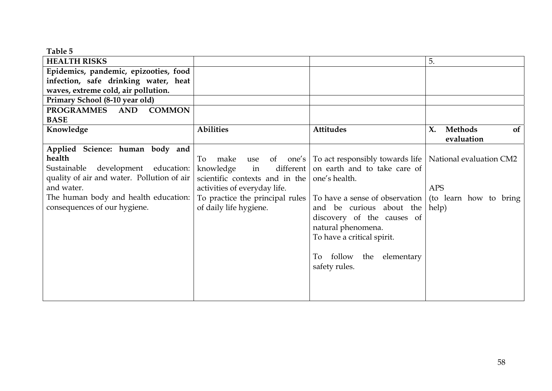**Table 5** 

| <b>HEALTH RISKS</b>                        |                                              |                                                                                  | 5.                                    |
|--------------------------------------------|----------------------------------------------|----------------------------------------------------------------------------------|---------------------------------------|
| Epidemics, pandemic, epizooties, food      |                                              |                                                                                  |                                       |
| infection, safe drinking water, heat       |                                              |                                                                                  |                                       |
| waves, extreme cold, air pollution.        |                                              |                                                                                  |                                       |
| Primary School (8-10 year old)             |                                              |                                                                                  |                                       |
| <b>COMMON</b><br>PROGRAMMES AND            |                                              |                                                                                  |                                       |
| <b>BASE</b>                                |                                              |                                                                                  |                                       |
| Knowledge                                  | <b>Abilities</b>                             | <b>Attitudes</b>                                                                 | <b>Methods</b><br>X.<br><sub>of</sub> |
|                                            |                                              |                                                                                  | evaluation                            |
| Applied Science: human body and            |                                              |                                                                                  |                                       |
| health                                     |                                              | To make use of one's   To act responsibly towards life   National evaluation CM2 |                                       |
| Sustainable development education:         | knowledge<br>in                              | different on earth and to take care of                                           |                                       |
| quality of air and water. Pollution of air | scientific contexts and in the one's health. |                                                                                  |                                       |
| and water.                                 | activities of everyday life.                 |                                                                                  | <b>APS</b>                            |
| The human body and health education:       | To practice the principal rules              | To have a sense of observation                                                   | (to learn how to bring                |
| consequences of our hygiene.               | of daily life hygiene.                       | and be curious about the                                                         | help)                                 |
|                                            |                                              | discovery of the causes of                                                       |                                       |
|                                            |                                              | natural phenomena.                                                               |                                       |
|                                            |                                              | To have a critical spirit.                                                       |                                       |
|                                            |                                              |                                                                                  |                                       |
|                                            |                                              | To follow the elementary                                                         |                                       |
|                                            |                                              | safety rules.                                                                    |                                       |
|                                            |                                              |                                                                                  |                                       |
|                                            |                                              |                                                                                  |                                       |
|                                            |                                              |                                                                                  |                                       |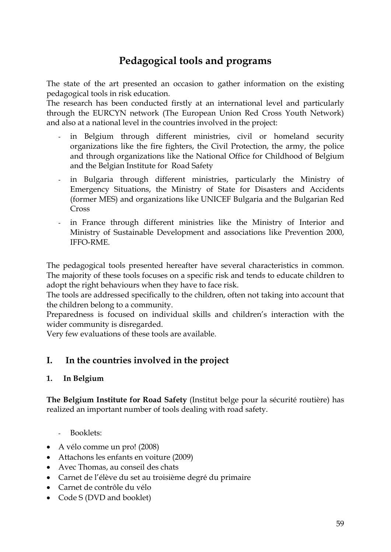# **Pedagogical tools and programs**

The state of the art presented an occasion to gather information on the existing pedagogical tools in risk education.

The research has been conducted firstly at an international level and particularly through the EURCYN network (The European Union Red Cross Youth Network) and also at a national level in the countries involved in the project:

- in Belgium through different ministries, civil or homeland security organizations like the fire fighters, the Civil Protection, the army, the police and through organizations like the National Office for Childhood of Belgium and the Belgian Institute for Road Safety
- in Bulgaria through different ministries, particularly the Ministry of Emergency Situations, the Ministry of State for Disasters and Accidents (former MES) and organizations like UNICEF Bulgaria and the Bulgarian Red Cross
- in France through different ministries like the Ministry of Interior and Ministry of Sustainable Development and associations like Prevention 2000, IFFO-RME.

The pedagogical tools presented hereafter have several characteristics in common. The majority of these tools focuses on a specific risk and tends to educate children to adopt the right behaviours when they have to face risk.

The tools are addressed specifically to the children, often not taking into account that the children belong to a community.

Preparedness is focused on individual skills and children's interaction with the wider community is disregarded.

Very few evaluations of these tools are available.

## **I. In the countries involved in the project**

#### **1. In Belgium**

**The Belgium Institute for Road Safety** (Institut belge pour la sécurité routière) has realized an important number of tools dealing with road safety.

- Booklets:
- A vélo comme un pro! (2008)
- Attachons les enfants en voiture (2009)
- Avec Thomas, au conseil des chats
- Carnet de l'élève du set au troisième degré du primaire
- Carnet de contrôle du vélo
- Code S (DVD and booklet)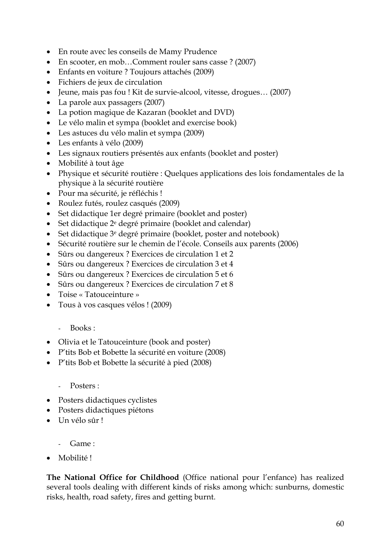- En route avec les conseils de Mamy Prudence
- En scooter, en mob...Comment rouler sans casse ? (2007)
- Enfants en voiture ? Toujours attachés (2009)
- Fichiers de jeux de circulation
- Jeune, mais pas fou ! Kit de survie-alcool, vitesse, drogues… (2007)
- La parole aux passagers (2007)
- La potion magique de Kazaran (booklet and DVD)
- Le vélo malin et sympa (booklet and exercise book)
- Les astuces du vélo malin et sympa (2009)
- Les enfants à vélo (2009)
- Les signaux routiers présentés aux enfants (booklet and poster)
- Mobilité à tout âge
- Physique et sécurité routière : Quelques applications des lois fondamentales de la physique à la sécurité routière
- Pour ma sécurité, je réfléchis !
- Roulez futés, roulez casqués (2009)
- Set didactique 1er degré primaire (booklet and poster)
- Set didactique  $2^e$  degré primaire (booklet and calendar)
- Set didactique <sup>3</sup>e degré primaire (booklet, poster and notebook)
- Sécurité routière sur le chemin de l'école. Conseils aux parents (2006)
- Sûrs ou dangereux ? Exercices de circulation 1 et 2
- Sûrs ou dangereux ? Exercices de circulation 3 et 4
- Sûrs ou dangereux ? Exercices de circulation 5 et 6
- Sûrs ou dangereux ? Exercices de circulation 7 et 8
- Toise « Tatouceinture »
- Tous à vos casques vélos ! (2009)
	- Books :
- Olivia et le Tatouceinture (book and poster)
- P'tits Bob et Bobette la sécurité en voiture (2008)
- P'tits Bob et Bobette la sécurité à pied (2008)

#### Posters :

- Posters didactiques cyclistes
- Posters didactiques piétons
- Un vélo sûr !
	- $Game$
- Mobilité !

**The National Office for Childhood** (Office national pour l'enfance) has realized several tools dealing with different kinds of risks among which: sunburns, domestic risks, health, road safety, fires and getting burnt.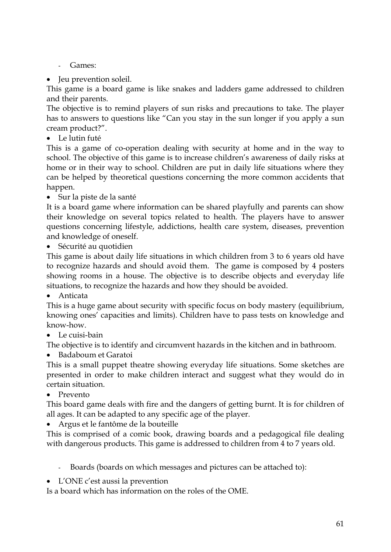- Games:
- Jeu prevention soleil.

This game is a board game is like snakes and ladders game addressed to children and their parents.

The objective is to remind players of sun risks and precautions to take. The player has to answers to questions like "Can you stay in the sun longer if you apply a sun cream product?".

• Le lutin futé

This is a game of co-operation dealing with security at home and in the way to school. The objective of this game is to increase children's awareness of daily risks at home or in their way to school. Children are put in daily life situations where they can be helped by theoretical questions concerning the more common accidents that happen.

• Sur la piste de la santé

It is a board game where information can be shared playfully and parents can show their knowledge on several topics related to health. The players have to answer questions concerning lifestyle, addictions, health care system, diseases, prevention and knowledge of oneself.

• Sécurité au quotidien

This game is about daily life situations in which children from 3 to 6 years old have to recognize hazards and should avoid them. The game is composed by 4 posters showing rooms in a house. The objective is to describe objects and everyday life situations, to recognize the hazards and how they should be avoided.

• Anticata

This is a huge game about security with specific focus on body mastery (equilibrium, knowing ones' capacities and limits). Children have to pass tests on knowledge and know-how.

• Le cuisi-bain

The objective is to identify and circumvent hazards in the kitchen and in bathroom.

• Badaboum et Garatoi

This is a small puppet theatre showing everyday life situations. Some sketches are presented in order to make children interact and suggest what they would do in certain situation.

• Prevento

This board game deals with fire and the dangers of getting burnt. It is for children of all ages. It can be adapted to any specific age of the player.

• Argus et le fantôme de la bouteille

This is comprised of a comic book, drawing boards and a pedagogical file dealing with dangerous products. This game is addressed to children from 4 to 7 years old.

- Boards (boards on which messages and pictures can be attached to):
- L'ONE c'est aussi la prevention

Is a board which has information on the roles of the OME.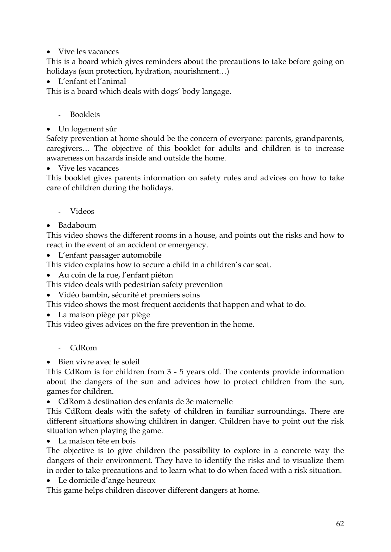• Vive les vacances

This is a board which gives reminders about the precautions to take before going on holidays (sun protection, hydration, nourishment…)

• L'enfant et l'animal

This is a board which deals with dogs' body langage.

- Booklets
- Un logement sûr

Safety prevention at home should be the concern of everyone: parents, grandparents, caregivers… The objective of this booklet for adults and children is to increase awareness on hazards inside and outside the home.

• Vive les vacances

This booklet gives parents information on safety rules and advices on how to take care of children during the holidays.

- Videos
- Badaboum

This video shows the different rooms in a house, and points out the risks and how to react in the event of an accident or emergency.

L'enfant passager automobile

This video explains how to secure a child in a children's car seat.

• Au coin de la rue, l'enfant piéton

This video deals with pedestrian safety prevention

• Vidéo bambin, sécurité et premiers soins

This video shows the most frequent accidents that happen and what to do.

• La maison piège par piège

This video gives advices on the fire prevention in the home.

- CdRom

• Bien vivre avec le soleil

This CdRom is for children from 3 - 5 years old. The contents provide information about the dangers of the sun and advices how to protect children from the sun, games for children.

• CdRom à destination des enfants de 3e maternelle

This CdRom deals with the safety of children in familiar surroundings. There are different situations showing children in danger. Children have to point out the risk situation when playing the game.

La maison tête en bois

The objective is to give children the possibility to explore in a concrete way the dangers of their environment. They have to identify the risks and to visualize them in order to take precautions and to learn what to do when faced with a risk situation.

• Le domicile d'ange heureux

This game helps children discover different dangers at home.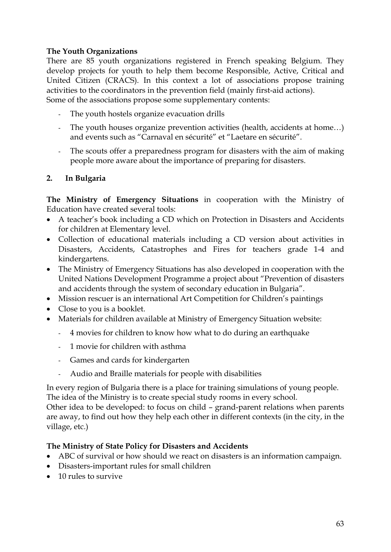#### **The Youth Organizations**

There are 85 youth organizations registered in French speaking Belgium. They develop projects for youth to help them become Responsible, Active, Critical and United Citizen (CRACS). In this context a lot of associations propose training activities to the coordinators in the prevention field (mainly first-aid actions). Some of the associations propose some supplementary contents:

- The youth hostels organize evacuation drills
- The youth houses organize prevention activities (health, accidents at home...) and events such as "Carnaval en sécurité" et "Laetare en sécurité".
- The scouts offer a preparedness program for disasters with the aim of making people more aware about the importance of preparing for disasters.

## **2. In Bulgaria**

**The Ministry of Emergency Situations** in cooperation with the Ministry of Education have created several tools:

- A teacher's book including a CD which on Protection in Disasters and Accidents for children at Elementary level.
- Collection of educational materials including a CD version about activities in Disasters, Accidents, Catastrophes and Fires for teachers grade 1-4 and kindergartens.
- The Ministry of Emergency Situations has also developed in cooperation with the United Nations Development Programme a project about "Prevention of disasters and accidents through the system of secondary education in Bulgaria".
- Mission rescuer is an international Art Competition for Children's paintings
- Close to you is a booklet.
- Materials for children available at Ministry of Emergency Situation website:
	- 4 movies for children to know how what to do during an earthquake
	- 1 movie for children with asthma
	- Games and cards for kindergarten
	- Audio and Braille materials for people with disabilities

In every region of Bulgaria there is a place for training simulations of young people. The idea of the Ministry is to create special study rooms in every school.

Other idea to be developed: to focus on child – grand-parent relations when parents are away, to find out how they help each other in different contexts (in the city, in the village, etc.)

#### **The Ministry of State Policy for Disasters and Accidents**

- ABC of survival or how should we react on disasters is an information campaign.
- Disasters-important rules for small children
- 10 rules to survive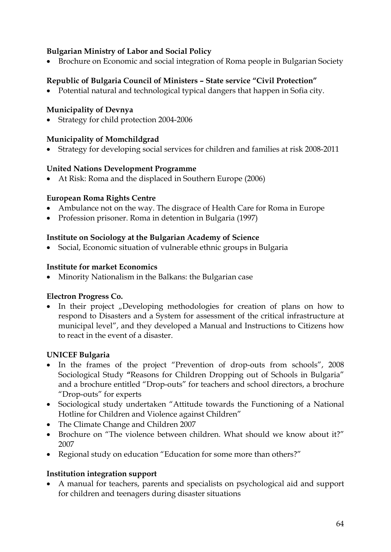#### **Bulgarian Ministry of Labor and Social Policy**

• Brochure on Economic and social integration of Roma people in Bulgarian Society

## **Republic of Bulgaria Council of Ministers – State service "Civil Protection"**

• Potential natural and technological typical dangers that happen in Sofia city.

#### **Municipality of Devnya**

• Strategy for child protection 2004-2006

### **Municipality of Momchildgrad**

• Strategy for developing social services for children and families at risk 2008-2011

### **United Nations Development Programme**

• At Risk: Roma and the displaced in Southern Europe (2006)

#### **European Roma Rights Centre**

- Ambulance not on the way. The disgrace of Health Care for Roma in Europe
- Profession prisoner. Roma in detention in Bulgaria (1997)

#### **Institute on Sociology at the Bulgarian Academy of Science**

• Social, Economic situation of vulnerable ethnic groups in Bulgaria

#### **Institute for market Economics**

• Minority Nationalism in the Balkans: the Bulgarian case

#### **Electron Progress Co.**

• In their project "Developing methodologies for creation of plans on how to respond to Disasters and a System for assessment of the critical infrastructure at municipal level", and they developed a Manual and Instructions to Citizens how to react in the event of a disaster.

#### **UNICEF Bulgaria**

- In the frames of the project "Prevention of drop-outs from schools", 2008 Sociological Study **"**Reasons for Children Dropping out of Schools in Bulgaria" and a brochure entitled "Drop-outs" for teachers and school directors, a brochure "Drop-outs" for experts
- Sociological study undertaken "Attitude towards the Functioning of a National Hotline for Children and Violence against Children"
- The Climate Change and Children 2007
- Brochure on "The violence between children. What should we know about it?" 2007
- Regional study on education "Education for some more than others?"

#### **Institution integration support**

• A manual for teachers, parents and specialists on psychological aid and support for children and teenagers during disaster situations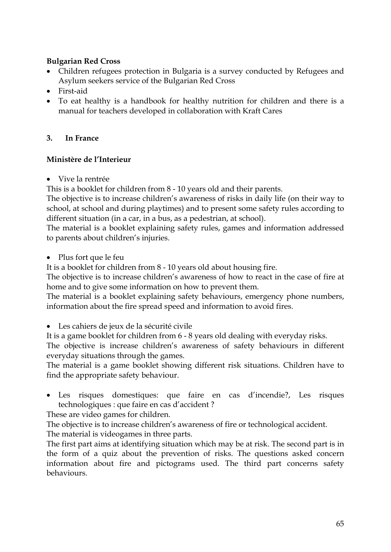### **Bulgarian Red Cross**

- Children refugees protection in Bulgaria is a survey conducted by Refugees and Asylum seekers service of the Bulgarian Red Cross
- First-aid
- To eat healthy is a handbook for healthy nutrition for children and there is a manual for teachers developed in collaboration with Kraft Cares

### **3. In France**

### **Ministère de l'Interieur**

• Vive la rentrée

This is a booklet for children from 8 - 10 years old and their parents.

The objective is to increase children's awareness of risks in daily life (on their way to school, at school and during playtimes) and to present some safety rules according to different situation (in a car, in a bus, as a pedestrian, at school).

The material is a booklet explaining safety rules, games and information addressed to parents about children's injuries.

• Plus fort que le feu

It is a booklet for children from 8 - 10 years old about housing fire.

The objective is to increase children's awareness of how to react in the case of fire at home and to give some information on how to prevent them.

The material is a booklet explaining safety behaviours, emergency phone numbers, information about the fire spread speed and information to avoid fires.

- Les cahiers de jeux de la sécurité civile
- It is a game booklet for children from 6 8 years old dealing with everyday risks.

The objective is increase children's awareness of safety behaviours in different everyday situations through the games.

The material is a game booklet showing different risk situations. Children have to find the appropriate safety behaviour.

Les risques domestiques: que faire en cas d'incendie?, Les risques technologiques : que faire en cas d'accident ?

These are video games for children.

The objective is to increase children's awareness of fire or technological accident. The material is videogames in three parts.

The first part aims at identifying situation which may be at risk. The second part is in the form of a quiz about the prevention of risks. The questions asked concern information about fire and pictograms used. The third part concerns safety behaviours.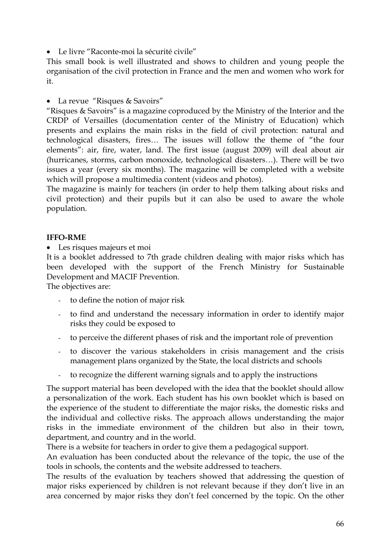• Le livre "Raconte-moi la sécurité civile"

This small book is well illustrated and shows to children and young people the organisation of the civil protection in France and the men and women who work for it.

• La revue "Risques & Savoirs"

"Risques & Savoirs" is a magazine coproduced by the Ministry of the Interior and the CRDP of Versailles (documentation center of the Ministry of Education) which presents and explains the main risks in the field of civil protection: natural and technological disasters, fires… The issues will follow the theme of "the four elements": air, fire, water, land. The first issue (august 2009) will deal about air (hurricanes, storms, carbon monoxide, technological disasters…). There will be two issues a year (every six months). The magazine will be completed with a website which will propose a multimedia content (videos and photos).

The magazine is mainly for teachers (in order to help them talking about risks and civil protection) and their pupils but it can also be used to aware the whole population.

#### **IFFO-RME**

• Les risques majeurs et moi

It is a booklet addressed to 7th grade children dealing with major risks which has been developed with the support of the French Ministry for Sustainable Development and MACIF Prevention.

The objectives are:

- to define the notion of major risk
- to find and understand the necessary information in order to identify major risks they could be exposed to
- to perceive the different phases of risk and the important role of prevention
- to discover the various stakeholders in crisis management and the crisis management plans organized by the State, the local districts and schools
- to recognize the different warning signals and to apply the instructions

The support material has been developed with the idea that the booklet should allow a personalization of the work. Each student has his own booklet which is based on the experience of the student to differentiate the major risks, the domestic risks and the individual and collective risks. The approach allows understanding the major risks in the immediate environment of the children but also in their town, department, and country and in the world.

There is a website for teachers in order to give them a pedagogical support.

An evaluation has been conducted about the relevance of the topic, the use of the tools in schools, the contents and the website addressed to teachers.

The results of the evaluation by teachers showed that addressing the question of major risks experienced by children is not relevant because if they don't live in an area concerned by major risks they don't feel concerned by the topic. On the other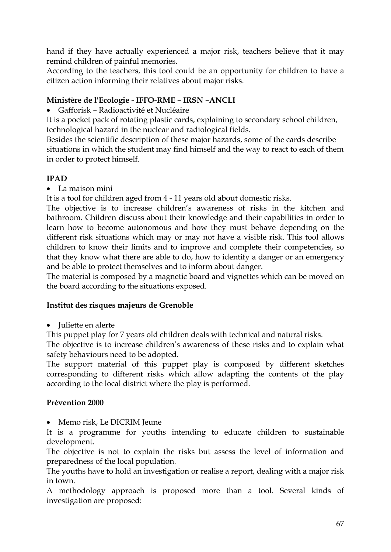hand if they have actually experienced a major risk, teachers believe that it may remind children of painful memories.

According to the teachers, this tool could be an opportunity for children to have a citizen action informing their relatives about major risks.

## **Ministère de l'Ecologie - IFFO-RME – IRSN –ANCLI**

• Gafforisk – Radioactivité et Nucléaire

It is a pocket pack of rotating plastic cards, explaining to secondary school children, technological hazard in the nuclear and radiological fields.

Besides the scientific description of these major hazards, some of the cards describe situations in which the student may find himself and the way to react to each of them in order to protect himself.

### **IPAD**

• La maison mini

It is a tool for children aged from 4 - 11 years old about domestic risks.

The objective is to increase children's awareness of risks in the kitchen and bathroom. Children discuss about their knowledge and their capabilities in order to learn how to become autonomous and how they must behave depending on the different risk situations which may or may not have a visible risk. This tool allows children to know their limits and to improve and complete their competencies, so that they know what there are able to do, how to identify a danger or an emergency and be able to protect themselves and to inform about danger.

The material is composed by a magnetic board and vignettes which can be moved on the board according to the situations exposed.

#### **Institut des risques majeurs de Grenoble**

• Juliette en alerte

This puppet play for 7 years old children deals with technical and natural risks.

The objective is to increase children's awareness of these risks and to explain what safety behaviours need to be adopted.

The support material of this puppet play is composed by different sketches corresponding to different risks which allow adapting the contents of the play according to the local district where the play is performed.

## **Prévention 2000**

• Memo risk, Le DICRIM Jeune

It is a programme for youths intending to educate children to sustainable development.

The objective is not to explain the risks but assess the level of information and preparedness of the local population.

The youths have to hold an investigation or realise a report, dealing with a major risk in town.

A methodology approach is proposed more than a tool. Several kinds of investigation are proposed: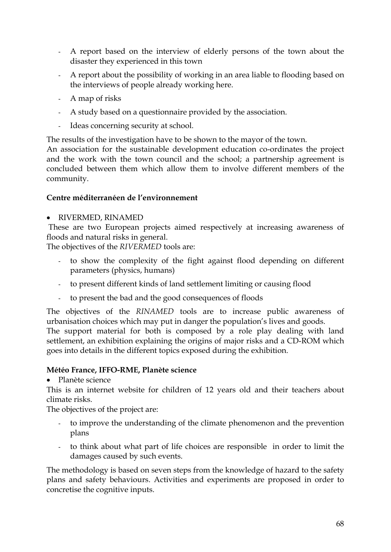- A report based on the interview of elderly persons of the town about the disaster they experienced in this town
- A report about the possibility of working in an area liable to flooding based on the interviews of people already working here.
- A map of risks
- A study based on a questionnaire provided by the association.
- Ideas concerning security at school.

The results of the investigation have to be shown to the mayor of the town.

An association for the sustainable development education co-ordinates the project and the work with the town council and the school; a partnership agreement is concluded between them which allow them to involve different members of the community.

#### **Centre méditerranéen de l'environnement**

#### • RIVERMED, RINAMED

These are two European projects aimed respectively at increasing awareness of floods and natural risks in general.

The objectives of the *RIVERMED* tools are:

- to show the complexity of the fight against flood depending on different parameters (physics, humans)
- to present different kinds of land settlement limiting or causing flood
- to present the bad and the good consequences of floods

The objectives of the *RINAMED* tools are to increase public awareness of urbanisation choices which may put in danger the population's lives and goods.

The support material for both is composed by a role play dealing with land settlement, an exhibition explaining the origins of major risks and a CD-ROM which goes into details in the different topics exposed during the exhibition.

#### **Météo France, IFFO-RME, Planète science**

• Planète science

This is an internet website for children of 12 years old and their teachers about climate risks.

The objectives of the project are:

- to improve the understanding of the climate phenomenon and the prevention plans
- to think about what part of life choices are responsible in order to limit the damages caused by such events.

The methodology is based on seven steps from the knowledge of hazard to the safety plans and safety behaviours. Activities and experiments are proposed in order to concretise the cognitive inputs.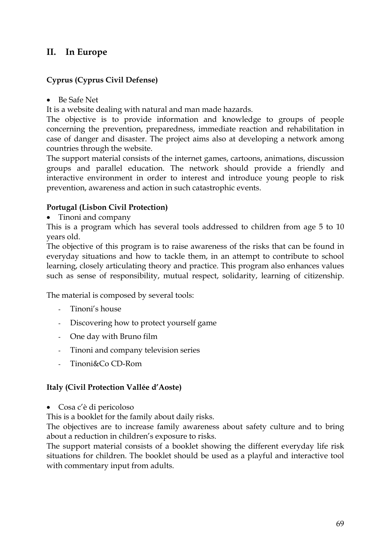## **II. In Europe**

## **Cyprus (Cyprus Civil Defense)**

• Be Safe Net

It is a website dealing with natural and man made hazards.

The objective is to provide information and knowledge to groups of people concerning the prevention, preparedness, immediate reaction and rehabilitation in case of danger and disaster. The project aims also at developing a network among countries through the website.

The support material consists of the internet games, cartoons, animations, discussion groups and parallel education. The network should provide a friendly and interactive environment in order to interest and introduce young people to risk prevention, awareness and action in such catastrophic events.

#### **Portugal (Lisbon Civil Protection)**

• Tinoni and company

This is a program which has several tools addressed to children from age 5 to 10 years old.

The objective of this program is to raise awareness of the risks that can be found in everyday situations and how to tackle them, in an attempt to contribute to school learning, closely articulating theory and practice. This program also enhances values such as sense of responsibility, mutual respect, solidarity, learning of citizenship.

The material is composed by several tools:

- Tinoni's house
- Discovering how to protect yourself game
- One day with Bruno film
- Tinoni and company television series
- Tinoni&Co CD-Rom

#### **Italy (Civil Protection Vallée d'Aoste)**

• Cosa c'è di pericoloso

This is a booklet for the family about daily risks.

The objectives are to increase family awareness about safety culture and to bring about a reduction in children's exposure to risks.

The support material consists of a booklet showing the different everyday life risk situations for children. The booklet should be used as a playful and interactive tool with commentary input from adults.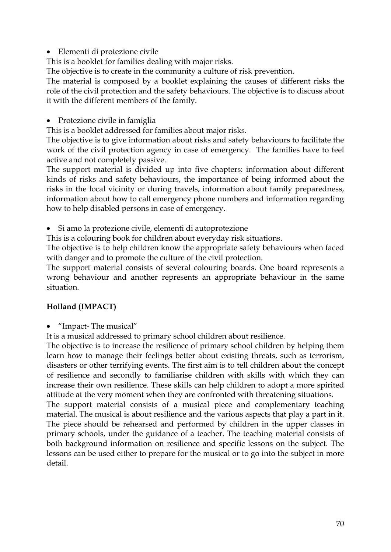• Elementi di protezione civile

This is a booklet for families dealing with major risks.

The objective is to create in the community a culture of risk prevention.

The material is composed by a booklet explaining the causes of different risks the role of the civil protection and the safety behaviours. The objective is to discuss about it with the different members of the family.

• Protezione civile in famiglia

This is a booklet addressed for families about major risks.

The objective is to give information about risks and safety behaviours to facilitate the work of the civil protection agency in case of emergency. The families have to feel active and not completely passive.

The support material is divided up into five chapters: information about different kinds of risks and safety behaviours, the importance of being informed about the risks in the local vicinity or during travels, information about family preparedness, information about how to call emergency phone numbers and information regarding how to help disabled persons in case of emergency.

• Si amo la protezione civile, elementi di autoprotezione

This is a colouring book for children about everyday risk situations.

The objective is to help children know the appropriate safety behaviours when faced with danger and to promote the culture of the civil protection.

The support material consists of several colouring boards. One board represents a wrong behaviour and another represents an appropriate behaviour in the same situation.

#### **Holland (IMPACT)**

• "Impact- The musical"

It is a musical addressed to primary school children about resilience.

The objective is to increase the resilience of primary school children by helping them learn how to manage their feelings better about existing threats, such as terrorism, disasters or other terrifying events. The first aim is to tell children about the concept of resilience and secondly to familiarise children with skills with which they can increase their own resilience. These skills can help children to adopt a more spirited attitude at the very moment when they are confronted with threatening situations.

The support material consists of a musical piece and complementary teaching material. The musical is about resilience and the various aspects that play a part in it. The piece should be rehearsed and performed by children in the upper classes in primary schools, under the guidance of a teacher. The teaching material consists of both background information on resilience and specific lessons on the subject. The lessons can be used either to prepare for the musical or to go into the subject in more detail.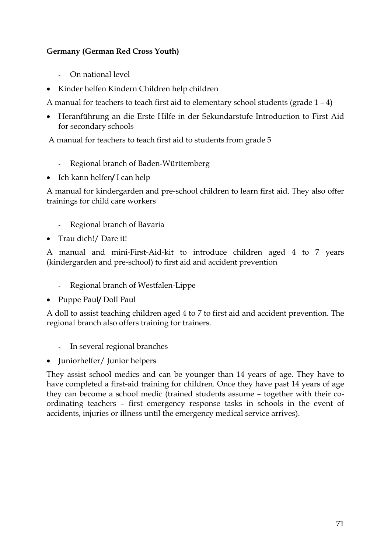#### **Germany (German Red Cross Youth)**

- On national level
- Kinder helfen Kindern Children help children

A manual for teachers to teach first aid to elementary school students (grade 1 – 4)

• Heranführung an die Erste Hilfe in der Sekundarstufe Introduction to First Aid for secondary schools

A manual for teachers to teach first aid to students from grade 5

- Regional branch of Baden-Württemberg
- Ich kann helfen**/** I can help

A manual for kindergarden and pre-school children to learn first aid. They also offer trainings for child care workers

- Regional branch of Bavaria
- Trau dich!/ Dare it!

A manual and mini-First-Aid-kit to introduce children aged 4 to 7 years (kindergarden and pre-school) to first aid and accident prevention

- Regional branch of Westfalen-Lippe
- Puppe Paul**/** Doll Paul

A doll to assist teaching children aged 4 to 7 to first aid and accident prevention. The regional branch also offers training for trainers.

- In several regional branches
- Juniorhelfer/ Junior helpers

They assist school medics and can be younger than 14 years of age. They have to have completed a first-aid training for children. Once they have past 14 years of age they can become a school medic (trained students assume – together with their coordinating teachers – first emergency response tasks in schools in the event of accidents, injuries or illness until the emergency medical service arrives).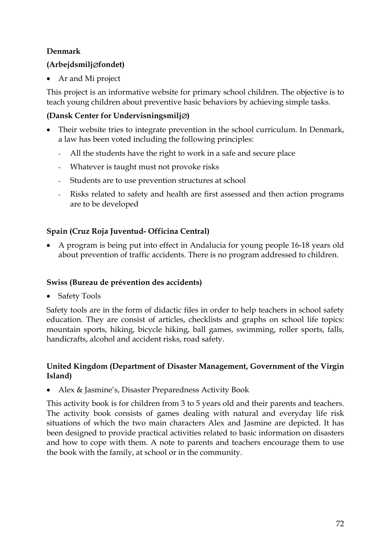### **Denmark**

## **(Arbejdsmilj**∅**fondet)**

Ar and Mi project

This project is an informative website for primary school children. The objective is to teach young children about preventive basic behaviors by achieving simple tasks.

### **(Dansk Center for Undervisningsmilj**∅**)**

- Their website tries to integrate prevention in the school curriculum. In Denmark, a law has been voted including the following principles:
	- All the students have the right to work in a safe and secure place
	- Whatever is taught must not provoke risks
	- Students are to use prevention structures at school
	- Risks related to safety and health are first assessed and then action programs are to be developed

## **Spain (Cruz Roja Juventud- Officina Central)**

• A program is being put into effect in Andalucia for young people 16-18 years old about prevention of traffic accidents. There is no program addressed to children.

#### **Swiss (Bureau de prévention des accidents)**

**Safety Tools** 

Safety tools are in the form of didactic files in order to help teachers in school safety education. They are consist of articles, checklists and graphs on school life topics: mountain sports, hiking, bicycle hiking, ball games, swimming, roller sports, falls, handicrafts, alcohol and accident risks, road safety.

#### **United Kingdom (Department of Disaster Management, Government of the Virgin Island)**

• Alex & Jasmine's, Disaster Preparedness Activity Book

This activity book is for children from 3 to 5 years old and their parents and teachers. The activity book consists of games dealing with natural and everyday life risk situations of which the two main characters Alex and Jasmine are depicted. It has been designed to provide practical activities related to basic information on disasters and how to cope with them. A note to parents and teachers encourage them to use the book with the family, at school or in the community.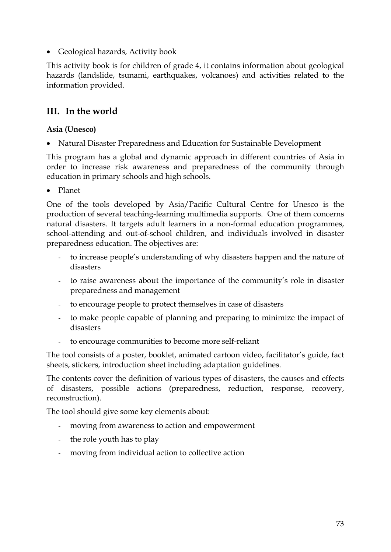• Geological hazards, Activity book

This activity book is for children of grade 4, it contains information about geological hazards (landslide, tsunami, earthquakes, volcanoes) and activities related to the information provided.

## **III. In the world**

#### **Asia (Unesco)**

• Natural Disaster Preparedness and Education for Sustainable Development

This program has a global and dynamic approach in different countries of Asia in order to increase risk awareness and preparedness of the community through education in primary schools and high schools.

• Planet

One of the tools developed by Asia/Pacific Cultural Centre for Unesco is the production of several teaching-learning multimedia supports. One of them concerns natural disasters. It targets adult learners in a non-formal education programmes, school-attending and out-of-school children, and individuals involved in disaster preparedness education. The objectives are:

- to increase people's understanding of why disasters happen and the nature of disasters
- to raise awareness about the importance of the community's role in disaster preparedness and management
- to encourage people to protect themselves in case of disasters
- to make people capable of planning and preparing to minimize the impact of disasters
- to encourage communities to become more self-reliant

The tool consists of a poster, booklet, animated cartoon video, facilitator's guide, fact sheets, stickers, introduction sheet including adaptation guidelines.

The contents cover the definition of various types of disasters, the causes and effects of disasters, possible actions (preparedness, reduction, response, recovery, reconstruction).

The tool should give some key elements about:

- moving from awareness to action and empowerment
- the role youth has to play
- moving from individual action to collective action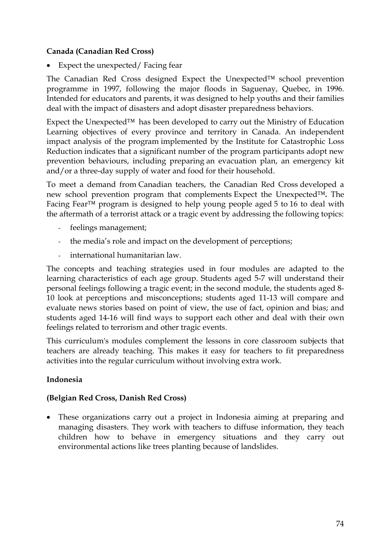#### **Canada (Canadian Red Cross)**

• Expect the unexpected/Facing fear

The Canadian Red Cross designed Expect the Unexpected™ school prevention programme in 1997, following the major floods in Saguenay, Quebec, in 1996. Intended for educators and parents, it was designed to help youths and their families deal with the impact of disasters and adopt disaster preparedness behaviors.

Expect the Unexpected™ has been developed to carry out the Ministry of Education Learning objectives of every province and territory in Canada. An independent impact analysis of the program implemented by the Institute for Catastrophic Loss Reduction indicates that a significant number of the program participants adopt new prevention behaviours, including preparing an evacuation plan, an emergency kit and/or a three-day supply of water and food for their household.

To meet a demand from Canadian teachers, the Canadian Red Cross developed a new school prevention program that complements Expect the Unexpected™**.** The Facing Fear™ program is designed to help young people aged 5 to 16 to deal with the aftermath of a terrorist attack or a tragic event by addressing the following topics:

- feelings management;
- the media's role and impact on the development of perceptions;
- international humanitarian law.

The concepts and teaching strategies used in four modules are adapted to the learning characteristics of each age group. Students aged 5-7 will understand their personal feelings following a tragic event; in the second module, the students aged 8- 10 look at perceptions and misconceptions; students aged 11-13 will compare and evaluate news stories based on point of view, the use of fact, opinion and bias; and students aged 14-16 will find ways to support each other and deal with their own feelings related to terrorism and other tragic events.

This curriculum's modules complement the lessons in core classroom subjects that teachers are already teaching. This makes it easy for teachers to fit preparedness activities into the regular curriculum without involving extra work.

## **Indonesia**

#### **(Belgian Red Cross, Danish Red Cross)**

• These organizations carry out a project in Indonesia aiming at preparing and managing disasters. They work with teachers to diffuse information, they teach children how to behave in emergency situations and they carry out environmental actions like trees planting because of landslides.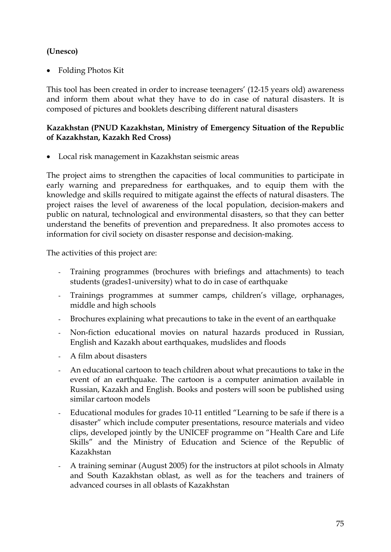#### **(Unesco)**

• Folding Photos Kit

This tool has been created in order to increase teenagers' (12-15 years old) awareness and inform them about what they have to do in case of natural disasters. It is composed of pictures and booklets describing different natural disasters

#### **Kazakhstan (PNUD Kazakhstan, Ministry of Emergency Situation of the Republic of Kazakhstan, Kazakh Red Cross)**

• Local risk management in Kazakhstan seismic areas

The project aims to strengthen the capacities of local communities to participate in early warning and preparedness for earthquakes, and to equip them with the knowledge and skills required to mitigate against the effects of natural disasters. The project raises the level of awareness of the local population, decision-makers and public on natural, technological and environmental disasters, so that they can better understand the benefits of prevention and preparedness. It also promotes access to information for civil society on disaster response and decision-making.

The activities of this project are:

- Training programmes (brochures with briefings and attachments) to teach students (grades1-university) what to do in case of earthquake
- Trainings programmes at summer camps, children's village, orphanages, middle and high schools
- Brochures explaining what precautions to take in the event of an earthquake
- Non-fiction educational movies on natural hazards produced in Russian, English and Kazakh about earthquakes, mudslides and floods
- A film about disasters
- An educational cartoon to teach children about what precautions to take in the event of an earthquake. The cartoon is a computer animation available in Russian, Kazakh and English. Books and posters will soon be published using similar cartoon models
- Educational modules for grades 10-11 entitled "Learning to be safe if there is a disaster" which include computer presentations, resource materials and video clips, developed jointly by the UNICEF programme on "Health Care and Life Skills" and the Ministry of Education and Science of the Republic of Kazakhstan
- A training seminar (August 2005) for the instructors at pilot schools in Almaty and South Kazakhstan oblast, as well as for the teachers and trainers of advanced courses in all oblasts of Kazakhstan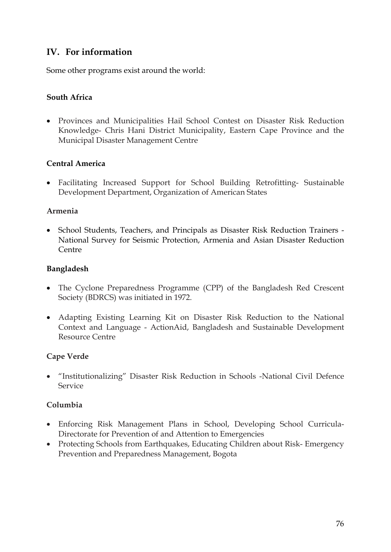## **IV. For information**

Some other programs exist around the world:

#### **South Africa**

• Provinces and Municipalities Hail School Contest on Disaster Risk Reduction Knowledge- Chris Hani District Municipality, Eastern Cape Province and the Municipal Disaster Management Centre

#### **Central America**

• Facilitating Increased Support for School Building Retrofitting- Sustainable Development Department, Organization of American States

#### **Armenia**

• School Students, Teachers, and Principals as Disaster Risk Reduction Trainers - National Survey for Seismic Protection, Armenia and Asian Disaster Reduction Centre

#### **Bangladesh**

- The Cyclone Preparedness Programme (CPP) of the Bangladesh Red Crescent Society (BDRCS) was initiated in 1972.
- Adapting Existing Learning Kit on Disaster Risk Reduction to the National Context and Language - ActionAid, Bangladesh and Sustainable Development Resource Centre

#### **Cape Verde**

• "Institutionalizing" Disaster Risk Reduction in Schools -National Civil Defence Service

#### **Columbia**

- Enforcing Risk Management Plans in School, Developing School Curricula-Directorate for Prevention of and Attention to Emergencies
- Protecting Schools from Earthquakes, Educating Children about Risk- Emergency Prevention and Preparedness Management, Bogota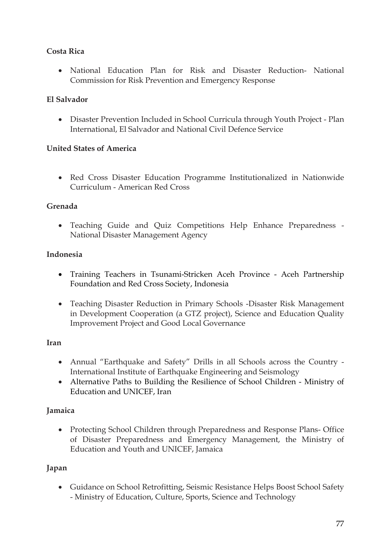#### **Costa Rica**

• National Education Plan for Risk and Disaster Reduction- National Commission for Risk Prevention and Emergency Response

#### **El Salvador**

• Disaster Prevention Included in School Curricula through Youth Project - Plan International, El Salvador and National Civil Defence Service

#### **United States of America**

• Red Cross Disaster Education Programme Institutionalized in Nationwide Curriculum - American Red Cross

#### **Grenada**

• Teaching Guide and Quiz Competitions Help Enhance Preparedness - National Disaster Management Agency

#### **Indonesia**

- Training Teachers in Tsunami-Stricken Aceh Province Aceh Partnership Foundation and Red Cross Society, Indonesia
- Teaching Disaster Reduction in Primary Schools -Disaster Risk Management in Development Cooperation (a GTZ project), Science and Education Quality Improvement Project and Good Local Governance

#### **Iran**

- Annual "Earthquake and Safety" Drills in all Schools across the Country International Institute of Earthquake Engineering and Seismology
- Alternative Paths to Building the Resilience of School Children Ministry of Education and UNICEF, Iran

## **Jamaica**

• Protecting School Children through Preparedness and Response Plans- Office of Disaster Preparedness and Emergency Management, the Ministry of Education and Youth and UNICEF, Jamaica

## **Japan**

• Guidance on School Retrofitting, Seismic Resistance Helps Boost School Safety - Ministry of Education, Culture, Sports, Science and Technology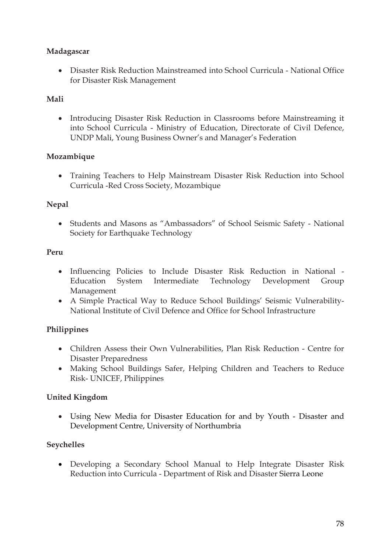#### **Madagascar**

• Disaster Risk Reduction Mainstreamed into School Curricula - National Office for Disaster Risk Management

## **Mali**

• Introducing Disaster Risk Reduction in Classrooms before Mainstreaming it into School Curricula - Ministry of Education, Directorate of Civil Defence, UNDP Mali, Young Business Owner's and Manager's Federation

## **Mozambique**

• Training Teachers to Help Mainstream Disaster Risk Reduction into School Curricula -Red Cross Society, Mozambique

## **Nepal**

• Students and Masons as "Ambassadors" of School Seismic Safety - National Society for Earthquake Technology

#### **Peru**

- Influencing Policies to Include Disaster Risk Reduction in National Education System Intermediate Technology Development Group Management
- A Simple Practical Way to Reduce School Buildings' Seismic Vulnerability-National Institute of Civil Defence and Office for School Infrastructure

## **Philippines**

- Children Assess their Own Vulnerabilities, Plan Risk Reduction Centre for Disaster Preparedness
- Making School Buildings Safer, Helping Children and Teachers to Reduce Risk- UNICEF, Philippines

## **United Kingdom**

• Using New Media for Disaster Education for and by Youth - Disaster and Development Centre, University of Northumbria

## **Seychelles**

• Developing a Secondary School Manual to Help Integrate Disaster Risk Reduction into Curricula - Department of Risk and Disaster Sierra Leone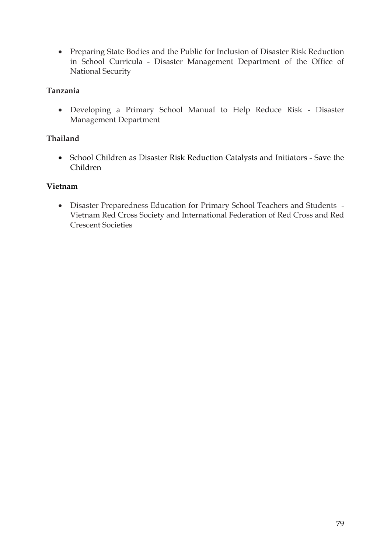• Preparing State Bodies and the Public for Inclusion of Disaster Risk Reduction in School Curricula - Disaster Management Department of the Office of National Security

#### **Tanzania**

• Developing a Primary School Manual to Help Reduce Risk - Disaster Management Department

#### **Thailand**

• School Children as Disaster Risk Reduction Catalysts and Initiators - Save the Children

#### **Vietnam**

• Disaster Preparedness Education for Primary School Teachers and Students - Vietnam Red Cross Society and International Federation of Red Cross and Red Crescent Societies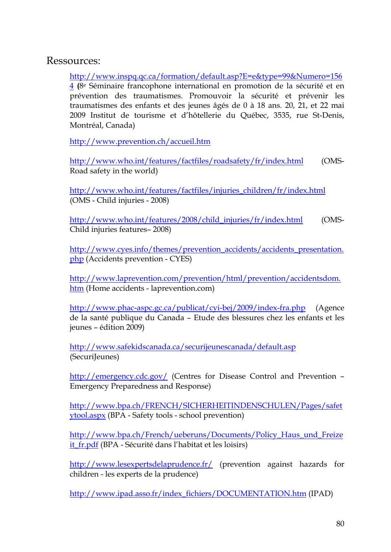## Ressources:

[http://www.inspq.qc.ca/formation/default.asp?E=e&type=99&Numero=156](http://www.inspq.qc.ca/formation/default.asp?E=e&type=99&Numero=1564) [4](http://www.inspq.qc.ca/formation/default.asp?E=e&type=99&Numero=1564) **(**8e Séminaire francophone international en promotion de la sécurité et en prévention des traumatismes. Promouvoir la sécurité et prévenir les traumatismes des enfants et des jeunes âgés de 0 à 18 ans. 20, 21, et 22 mai 2009 Institut de tourisme et d'hôtellerie du Québec, 3535, rue St-Denis, Montréal, Canada)

<http://www.prevention.ch/accueil.htm>

<http://www.who.int/features/factfiles/roadsafety/fr/index.html> (OMS-Road safety in the world)

[http://www.who.int/features/factfiles/injuries\\_children/fr/index.html](http://www.who.int/features/factfiles/injuries_children/fr/index.html) (OMS - Child injuries - 2008)

[http://www.who.int/features/2008/child\\_injuries/fr/index.html](http://www.who.int/features/2008/child_injuries/fr/index.html) (OMS-Child injuries features– 2008)

[http://www.cyes.info/themes/prevention\\_accidents/accidents\\_presentation.](http://www.cyes.info/themes/prevention_accidents/accidents_presentation.php) [php](http://www.cyes.info/themes/prevention_accidents/accidents_presentation.php) (Accidents prevention - CYES)

[http://www.laprevention.com/prevention/html/prevention/accidentsdom.](http://www.laprevention.com/prevention/html/prevention/accidentsdom.htm) [htm](http://www.laprevention.com/prevention/html/prevention/accidentsdom.htm) (Home accidents - laprevention.com)

<http://www.phac-aspc.gc.ca/publicat/cyi-bej/2009/index-fra.php> (Agence de la santé publique du Canada – Etude des blessures chez les enfants et les jeunes – édition 2009)

<http://www.safekidscanada.ca/securijeunescanada/default.asp> (SecuriJeunes)

<http://emergency.cdc.gov/> (Centres for Disease Control and Prevention – Emergency Preparedness and Response)

[http://www.bpa.ch/FRENCH/SICHERHEITINDENSCHULEN/Pages/safet](http://www.bpa.ch/FRENCH/SICHERHEITINDENSCHULEN/Pages/safetytool.aspx) [ytool.aspx](http://www.bpa.ch/FRENCH/SICHERHEITINDENSCHULEN/Pages/safetytool.aspx) (BPA - Safety tools - school prevention)

[http://www.bpa.ch/French/ueberuns/Documents/Policy\\_Haus\\_und\\_Freize](http://www.bpa.ch/French/ueberuns/Documents/Policy_Haus_und_Freizeit_fr.pdf) [it\\_fr.pdf](http://www.bpa.ch/French/ueberuns/Documents/Policy_Haus_und_Freizeit_fr.pdf) (BPA - Sécurité dans l'habitat et les loisirs)

<http://www.lesexpertsdelaprudence.fr/>(prevention against hazards for children - les experts de la prudence)

[http://www.ipad.asso.fr/index\\_fichiers/DOCUMENTATION.htm](http://www.ipad.asso.fr/index_fichiers/DOCUMENTATION.htm) (IPAD)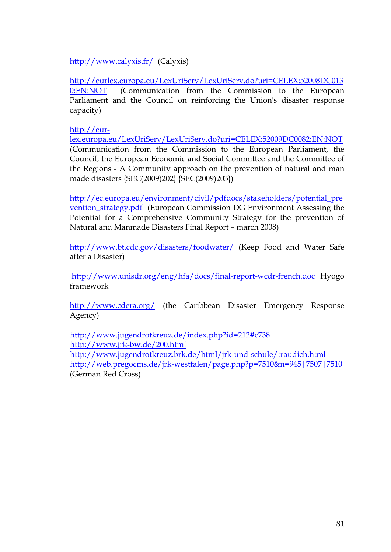<http://www.calyxis.fr/> (Calyxis)

[http://eurlex.europa.eu/LexUriServ/LexUriServ.do?uri=CELEX:52008DC013](http://eurlex.europa.eu/LexUriServ/LexUriServ.do?uri=CELEX:52008DC0130:EN:NOT) [0:EN:NOT](http://eurlex.europa.eu/LexUriServ/LexUriServ.do?uri=CELEX:52008DC0130:EN:NOT) (Communication from the Commission to the European Parliament and the Council on reinforcing the Union's disaster response capacity)

[http://eur-](http://eur-lex.europa.eu/LexUriServ/LexUriServ.do?uri=CELEX:52009DC0082:EN:NOT)

[lex.europa.eu/LexUriServ/LexUriServ.do?uri=CELEX:52009DC0082:EN:NOT](http://eur-lex.europa.eu/LexUriServ/LexUriServ.do?uri=CELEX:52009DC0082:EN:NOT) (Communication from the Commission to the European Parliament, the Council, the European Economic and Social Committee and the Committee of the Regions - A Community approach on the prevention of natural and man made disasters {SEC(2009)202} {SEC(2009)203})

[http://ec.europa.eu/environment/civil/pdfdocs/stakeholders/potential\\_pre](http://ec.europa.eu/environment/civil/pdfdocs/stakeholders/potential_prevention_strategy.pdf) [vention\\_strategy.pdf](http://ec.europa.eu/environment/civil/pdfdocs/stakeholders/potential_prevention_strategy.pdf) (European Commission DG Environment Assessing the Potential for a Comprehensive Community Strategy for the prevention of Natural and Manmade Disasters Final Report – march 2008)

<http://www.bt.cdc.gov/disasters/foodwater/>(Keep Food and Water Safe after a Disaster)

<http://www.unisdr.org/eng/hfa/docs/final-report-wcdr-french.doc>Hyogo framework

<http://www.cdera.org/> (the Caribbean Disaster Emergency Response Agency)

<http://www.jugendrotkreuz.de/index.php?id=212#c738> <http://www.jrk-bw.de/200.html> <http://www.jugendrotkreuz.brk.de/html/jrk-und-schule/traudich.html> <http://web.pregocms.de/jrk-westfalen/page.php?p=7510&n=945|7507|7510> (German Red Cross)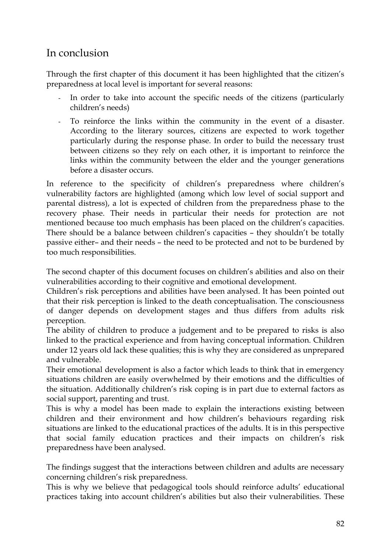# In conclusion

Through the first chapter of this document it has been highlighted that the citizen's preparedness at local level is important for several reasons:

- In order to take into account the specific needs of the citizens (particularly children's needs)
- To reinforce the links within the community in the event of a disaster. According to the literary sources, citizens are expected to work together particularly during the response phase. In order to build the necessary trust between citizens so they rely on each other, it is important to reinforce the links within the community between the elder and the younger generations before a disaster occurs.

In reference to the specificity of children's preparedness where children's vulnerability factors are highlighted (among which low level of social support and parental distress), a lot is expected of children from the preparedness phase to the recovery phase. Their needs in particular their needs for protection are not mentioned because too much emphasis has been placed on the children's capacities. There should be a balance between children's capacities – they shouldn't be totally passive either– and their needs – the need to be protected and not to be burdened by too much responsibilities.

The second chapter of this document focuses on children's abilities and also on their vulnerabilities according to their cognitive and emotional development.

Children's risk perceptions and abilities have been analysed. It has been pointed out that their risk perception is linked to the death conceptualisation. The consciousness of danger depends on development stages and thus differs from adults risk perception.

The ability of children to produce a judgement and to be prepared to risks is also linked to the practical experience and from having conceptual information. Children under 12 years old lack these qualities; this is why they are considered as unprepared and vulnerable.

Their emotional development is also a factor which leads to think that in emergency situations children are easily overwhelmed by their emotions and the difficulties of the situation. Additionally children's risk coping is in part due to external factors as social support, parenting and trust.

This is why a model has been made to explain the interactions existing between children and their environment and how children's behaviours regarding risk situations are linked to the educational practices of the adults. It is in this perspective that social family education practices and their impacts on children's risk preparedness have been analysed.

The findings suggest that the interactions between children and adults are necessary concerning children's risk preparedness.

This is why we believe that pedagogical tools should reinforce adults' educational practices taking into account children's abilities but also their vulnerabilities. These